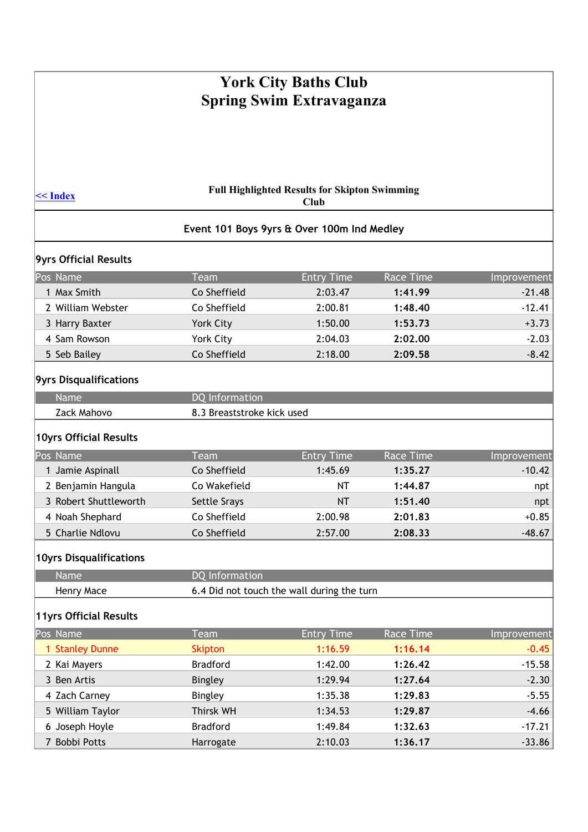| <b>York City Baths Club</b><br><b>Spring Swim Extravaganza</b> |                                            |                                                              |                  |             |  |
|----------------------------------------------------------------|--------------------------------------------|--------------------------------------------------------------|------------------|-------------|--|
| <u>&lt;&lt; Index</u>                                          |                                            | <b>Full Highlighted Results for Skipton Swimming</b><br>Club |                  |             |  |
|                                                                | Event 101 Boys 9yrs & Over 100m Ind Medley |                                                              |                  |             |  |
| <b>9yrs Official Results</b>                                   |                                            |                                                              |                  |             |  |
| Pos Name                                                       | <b>Team</b>                                | <b>Entry Time</b>                                            | <b>Race Time</b> | Improvement |  |
| 1 Max Smith                                                    | Co Sheffield                               | 2:03.47                                                      | 1:41.99          | $-21.48$    |  |
| 2 William Webster                                              | Co Sheffield                               | 2:00.81                                                      | 1:48.40          | $-12.41$    |  |
| 3 Harry Baxter                                                 | York City                                  | 1:50.00                                                      | 1:53.73          | $+3.73$     |  |
| 4 Sam Rowson                                                   | York City                                  | 2:04.03                                                      | 2:02.00          | $-2.03$     |  |
| 5 Seb Bailey                                                   | Co Sheffield                               | 2:18.00                                                      | 2:09.58          | $-8.42$     |  |
| <b>9yrs Disqualifications</b>                                  |                                            |                                                              |                  |             |  |
| <b>Name</b>                                                    | DQ Information                             |                                                              |                  |             |  |
| Zack Mahovo                                                    | 8.3 Breaststroke kick used                 |                                                              |                  |             |  |
|                                                                |                                            |                                                              |                  |             |  |
| <b>10yrs Official Results</b>                                  |                                            |                                                              |                  |             |  |
| Pos Name                                                       | Team                                       | <b>Entry Time</b>                                            | <b>Race Time</b> | Improvement |  |
| 1 Jamie Aspinall                                               | Co Sheffield                               | 1:45.69                                                      | 1:35.27          | $-10.42$    |  |
| 2 Benjamin Hangula                                             | Co Wakefield                               | <b>NT</b>                                                    | 1:44.87          | npt         |  |
| 3 Robert Shuttleworth                                          | Settle Srays                               | <b>NT</b>                                                    | 1:51.40          | npt         |  |
| 4 Noah Shephard                                                | Co Sheffield                               | 2:00.98                                                      | 2:01.83          | $+0.85$     |  |
| 5 Charlie Ndlovu                                               | Co Sheffield                               | 2:57.00                                                      | 2:08.33          | $-48.67$    |  |
| <b>10yrs Disqualifications</b>                                 |                                            |                                                              |                  |             |  |
| Name                                                           | DQ Information                             |                                                              |                  |             |  |
| Henry Mace                                                     |                                            | 6.4 Did not touch the wall during the turn                   |                  |             |  |
| <b>11yrs Official Results</b>                                  |                                            |                                                              |                  |             |  |
| Pos Name                                                       | <b>Team</b>                                | <b>Entry Time</b>                                            | <b>Race Time</b> | Improvement |  |
| 1 Stanley Dunne                                                | <b>Skipton</b>                             | 1:16.59                                                      | 1:16.14          | $-0.45$     |  |
| 2 Kai Mayers                                                   | <b>Bradford</b>                            | 1:42.00                                                      | 1:26.42          | $-15.58$    |  |
| 3 Ben Artis                                                    | <b>Bingley</b>                             | 1:29.94                                                      | 1:27.64          | $-2.30$     |  |
| 4 Zach Carney                                                  | <b>Bingley</b>                             | 1:35.38                                                      | 1:29.83          | $-5.55$     |  |
| 5 William Taylor                                               | Thirsk WH                                  | 1:34.53                                                      | 1:29.87          | $-4.66$     |  |
| 6 Joseph Hoyle                                                 | <b>Bradford</b>                            | 1:49.84                                                      | 1:32.63          | $-17.21$    |  |
| 7 Bobbi Potts                                                  | Harrogate                                  | 2:10.03                                                      | 1:36.17          | $-33.86$    |  |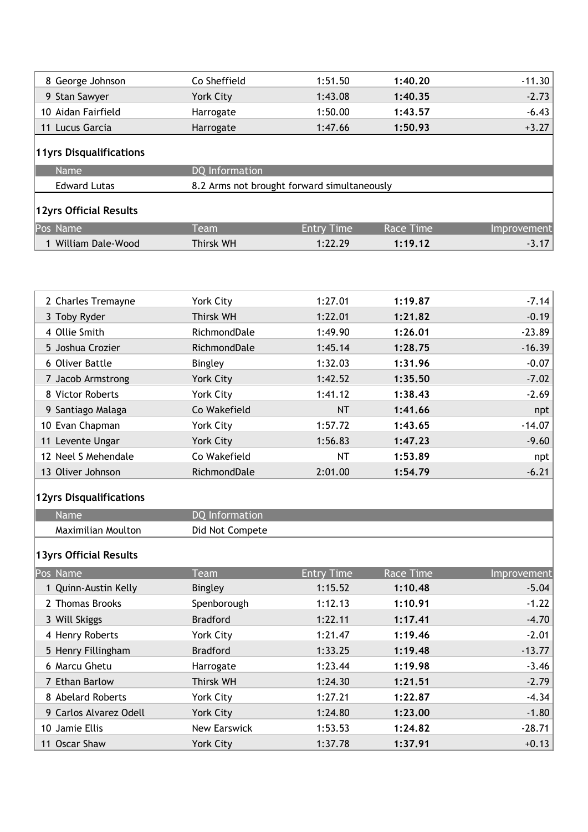| 8 George Johnson               | Co Sheffield                                | 1:51.50           | 1:40.20          | $-11.30$    |
|--------------------------------|---------------------------------------------|-------------------|------------------|-------------|
| 9 Stan Sawyer                  | York City                                   | 1:43.08           | 1:40.35          | $-2.73$     |
| 10 Aidan Fairfield             | Harrogate                                   | 1:50.00           | 1:43.57          | $-6.43$     |
| 11 Lucus Garcia                | Harrogate                                   | 1:47.66           | 1:50.93          | $+3.27$     |
| <b>11yrs Disqualifications</b> |                                             |                   |                  |             |
| <b>Name</b>                    | DQ Information                              |                   |                  |             |
| <b>Edward Lutas</b>            | 8.2 Arms not brought forward simultaneously |                   |                  |             |
| <b>12yrs Official Results</b>  |                                             |                   |                  |             |
| Pos Name                       | <b>Team</b>                                 | <b>Entry Time</b> | <b>Race Time</b> | Improvement |
| 1 William Dale-Wood            | Thirsk WH                                   | 1:22.29           | 1:19.12          | $-3.17$     |
|                                |                                             |                   |                  |             |
|                                |                                             |                   |                  |             |
| 2 Charles Tremayne             | York City                                   | 1:27.01           | 1:19.87          | $-7.14$     |
| 3 Toby Ryder                   | Thirsk WH                                   | 1:22.01           | 1:21.82          | $-0.19$     |
| 4 Ollie Smith                  | RichmondDale                                | 1:49.90           | 1:26.01          | $-23.89$    |
| 5 Joshua Crozier               | RichmondDale                                | 1:45.14           | 1:28.75          | $-16.39$    |
| 6 Oliver Battle                | <b>Bingley</b>                              | 1:32.03           | 1:31.96          | $-0.07$     |
| 7 Jacob Armstrong              | York City                                   | 1:42.52           | 1:35.50          | $-7.02$     |
| 8 Victor Roberts               | York City                                   | 1:41.12           | 1:38.43          | $-2.69$     |
| 9 Santiago Malaga              | Co Wakefield                                | <b>NT</b>         | 1:41.66          | npt         |
| 10 Evan Chapman                | York City                                   | 1:57.72           | 1:43.65          | $-14.07$    |
| 11 Levente Ungar               | York City                                   | 1:56.83           | 1:47.23          | $-9.60$     |
| 12 Neel S Mehendale            | Co Wakefield                                | <b>NT</b>         | 1:53.89          | npt         |
| 13 Oliver Johnson              | RichmondDale                                | 2:01.00           | 1:54.79          | $-6.21$     |
| <b>12yrs Disqualifications</b> |                                             |                   |                  |             |
| <b>Name</b>                    | DQ Information                              |                   |                  |             |
| <b>Maximilian Moulton</b>      | Did Not Compete                             |                   |                  |             |
| <b>13yrs Official Results</b>  |                                             |                   |                  |             |
| Pos Name                       | Team                                        | <b>Entry Time</b> | <b>Race Time</b> | Improvement |
| 1 Quinn-Austin Kelly           | <b>Bingley</b>                              | 1:15.52           | 1:10.48          | $-5.04$     |
| 2 Thomas Brooks                | Spenborough                                 | 1:12.13           | 1:10.91          | $-1.22$     |
| 3 Will Skiggs                  | <b>Bradford</b>                             | 1:22.11           | 1:17.41          | $-4.70$     |
| 4 Henry Roberts                | York City                                   | 1:21.47           | 1:19.46          | $-2.01$     |
| 5 Henry Fillingham             | <b>Bradford</b>                             | 1:33.25           | 1:19.48          | $-13.77$    |
| 6 Marcu Ghetu                  | Harrogate                                   | 1:23.44           | 1:19.98          | $-3.46$     |

 Ethan Barlow Thirsk WH 1:24.30 **1:21.51** -2.79 Abelard Roberts York City 1:27.21 **1:22.87** -4.34 Carlos Alvarez Odell York City 1:24.80 **1:23.00** -1.80 Jamie Ellis New Earswick 1:53.53 **1:24.82** -28.71 Oscar Shaw York City 1:37.78 **1:37.91** +0.13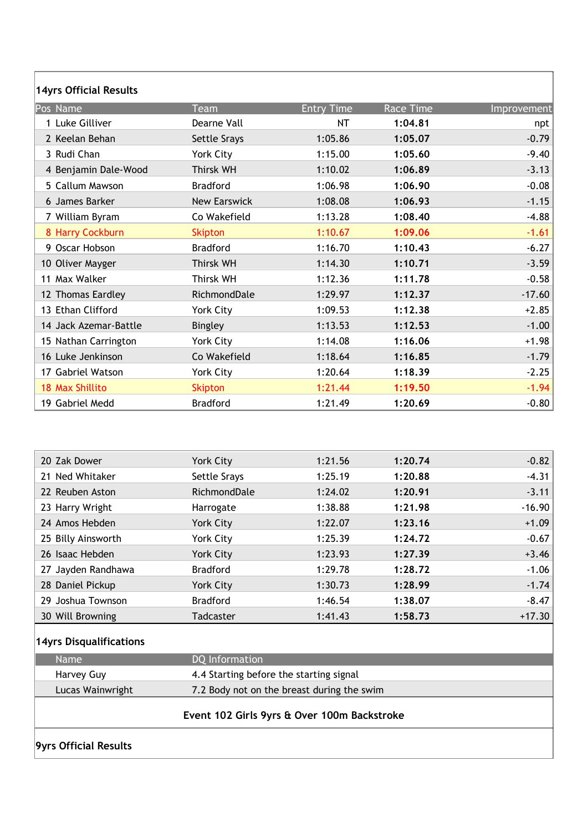| 14yrs Official Results |                     |                   |                  |             |
|------------------------|---------------------|-------------------|------------------|-------------|
| Pos Name               | Team                | <b>Entry Time</b> | <b>Race Time</b> | Improvement |
| 1 Luke Gilliver        | Dearne Vall         | NT                | 1:04.81          | npt         |
| 2 Keelan Behan         | Settle Srays        | 1:05.86           | 1:05.07          | $-0.79$     |
| 3 Rudi Chan            | York City           | 1:15.00           | 1:05.60          | $-9.40$     |
| 4 Benjamin Dale-Wood   | Thirsk WH           | 1:10.02           | 1:06.89          | $-3.13$     |
| 5 Callum Mawson        | <b>Bradford</b>     | 1:06.98           | 1:06.90          | $-0.08$     |
| 6 James Barker         | <b>New Earswick</b> | 1:08.08           | 1:06.93          | $-1.15$     |
| 7 William Byram        | Co Wakefield        | 1:13.28           | 1:08.40          | $-4.88$     |
| 8 Harry Cockburn       | <b>Skipton</b>      | 1:10.67           | 1:09.06          | $-1.61$     |
| 9 Oscar Hobson         | <b>Bradford</b>     | 1:16.70           | 1:10.43          | $-6.27$     |
| 10 Oliver Mayger       | Thirsk WH           | 1:14.30           | 1:10.71          | $-3.59$     |
| 11 Max Walker          | Thirsk WH           | 1:12.36           | 1:11.78          | $-0.58$     |
| 12 Thomas Eardley      | RichmondDale        | 1:29.97           | 1:12.37          | $-17.60$    |
| 13 Ethan Clifford      | York City           | 1:09.53           | 1:12.38          | $+2.85$     |
| 14 Jack Azemar-Battle  | <b>Bingley</b>      | 1:13.53           | 1:12.53          | $-1.00$     |
| 15 Nathan Carrington   | York City           | 1:14.08           | 1:16.06          | $+1.98$     |
| 16 Luke Jenkinson      | Co Wakefield        | 1:18.64           | 1:16.85          | $-1.79$     |
| 17 Gabriel Watson      | York City           | 1:20.64           | 1:18.39          | $-2.25$     |
| 18 Max Shillito        | <b>Skipton</b>      | 1:21.44           | 1:19.50          | $-1.94$     |
| 19 Gabriel Medd        | <b>Bradford</b>     | 1:21.49           | 1:20.69          | $-0.80$     |

| 20 Zak Dower       | York City        | 1:21.56 | 1:20.74 | $-0.82$  |
|--------------------|------------------|---------|---------|----------|
| 21 Ned Whitaker    | Settle Srays     | 1:25.19 | 1:20.88 | $-4.31$  |
| 22 Reuben Aston    | RichmondDale     | 1:24.02 | 1:20.91 | $-3.11$  |
| 23 Harry Wright    | Harrogate        | 1:38.88 | 1:21.98 | $-16.90$ |
| 24 Amos Hebden     | York City        | 1:22.07 | 1:23.16 | $+1.09$  |
| 25 Billy Ainsworth | York City        | 1:25.39 | 1:24.72 | $-0.67$  |
| 26 Isaac Hebden    | York City        | 1:23.93 | 1:27.39 | $+3.46$  |
| 27 Jayden Randhawa | <b>Bradford</b>  | 1:29.78 | 1:28.72 | $-1.06$  |
| 28 Daniel Pickup   | <b>York City</b> | 1:30.73 | 1:28.99 | $-1.74$  |
| 29 Joshua Townson  | <b>Bradford</b>  | 1:46.54 | 1:38.07 | $-8.47$  |
| 30 Will Browning   | Tadcaster        | 1:41.43 | 1:58.73 | $+17.30$ |

| Name             | DQ Information                             |
|------------------|--------------------------------------------|
| Harvey Guy       | 4.4 Starting before the starting signal    |
| Lucas Wainwright | 7.2 Body not on the breast during the swim |
|                  |                                            |

#### **Event 102 Girls 9yrs & Over 100m Backstroke**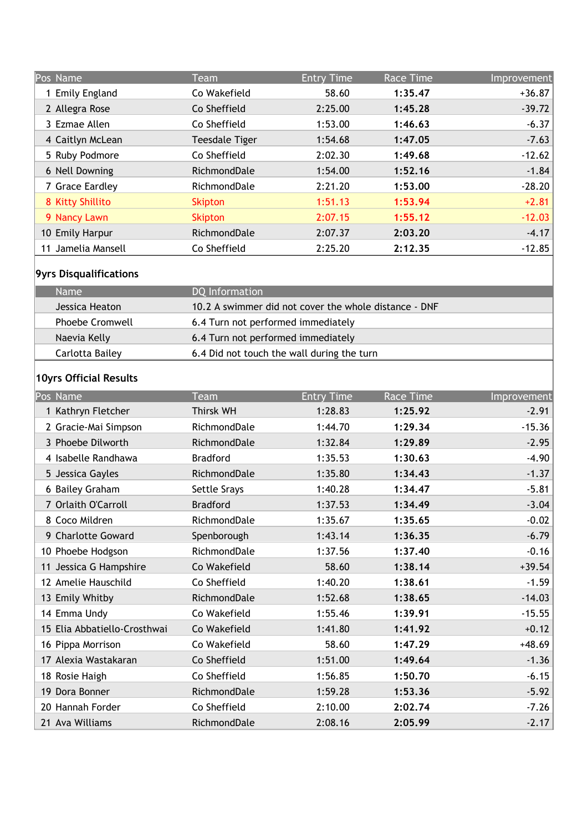| Pos Name                      | <b>Team</b>                        | <b>Entry Time</b>                                     | <b>Race Time</b> | Improvement |
|-------------------------------|------------------------------------|-------------------------------------------------------|------------------|-------------|
| 1 Emily England               | Co Wakefield                       | 58.60                                                 | 1:35.47          | $+36.87$    |
| 2 Allegra Rose                | Co Sheffield                       | 2:25.00                                               | 1:45.28          | $-39.72$    |
| 3 Ezmae Allen                 | Co Sheffield                       | 1:53.00                                               | 1:46.63          | $-6.37$     |
| 4 Caitlyn McLean              | <b>Teesdale Tiger</b>              | 1:54.68                                               | 1:47.05          | $-7.63$     |
| 5 Ruby Podmore                | Co Sheffield                       | 2:02.30                                               | 1:49.68          | $-12.62$    |
| 6 Nell Downing                | RichmondDale                       | 1:54.00                                               | 1:52.16          | $-1.84$     |
| 7 Grace Eardley               | RichmondDale                       | 2:21.20                                               | 1:53.00          | $-28.20$    |
| 8 Kitty Shillito              | <b>Skipton</b>                     | 1:51.13                                               | 1:53.94          | $+2.81$     |
| 9 Nancy Lawn                  | <b>Skipton</b>                     | 2:07.15                                               | 1:55.12          | $-12.03$    |
| 10 Emily Harpur               | RichmondDale                       | 2:07.37                                               | 2:03.20          | $-4.17$     |
| 11 Jamelia Mansell            | Co Sheffield                       | 2:25.20                                               | 2:12.35          | $-12.85$    |
|                               |                                    |                                                       |                  |             |
| <b>9yrs Disqualifications</b> |                                    |                                                       |                  |             |
| <b>Name</b>                   | DQ Information                     |                                                       |                  |             |
| Jessica Heaton                |                                    | 10.2 A swimmer did not cover the whole distance - DNF |                  |             |
| Phoebe Cromwell               | 6.4 Turn not performed immediately |                                                       |                  |             |
| Naevia Kelly                  | 6.4 Turn not performed immediately |                                                       |                  |             |
| Carlotta Bailey               |                                    | 6.4 Did not touch the wall during the turn            |                  |             |
| <b>10yrs Official Results</b> |                                    |                                                       |                  |             |
| Pos Name                      | <b>Team</b>                        | <b>Entry Time</b>                                     | <b>Race Time</b> | Improvement |
| 1 Kathryn Fletcher            | <b>Thirsk WH</b>                   | 1:28.83                                               | 1:25.92          | $-2.91$     |
| 2 Gracie-Mai Simpson          | RichmondDale                       | 1:44.70                                               | 1:29.34          | $-15.36$    |
| 3 Phoebe Dilworth             | RichmondDale                       | 1:32.84                                               | 1:29.89          | $-2.95$     |
| 4 Isabelle Randhawa           | <b>Bradford</b>                    | 1:35.53                                               | 1:30.63          | $-4.90$     |
| 5 Jessica Gayles              | RichmondDale                       | 1:35.80                                               | 1:34.43          | $-1.37$     |
| 6 Bailey Graham               | Settle Srays                       | 1:40.28                                               | 1:34.47          | $-5.81$     |
| 7 Orlaith O'Carroll           | <b>Bradford</b>                    | 1:37.53                                               | 1:34.49          | $-3.04$     |
| 8 Coco Mildren                | RichmondDale                       | 1:35.67                                               | 1:35.65          | $-0.02$     |
| 9 Charlotte Goward            | Spenborough                        | 1:43.14                                               | 1:36.35          | $-6.79$     |
| 10 Phoebe Hodgson             | RichmondDale                       | 1:37.56                                               | 1:37.40          | $-0.16$     |
| 11 Jessica G Hampshire        | Co Wakefield                       | 58.60                                                 | 1:38.14          | $+39.54$    |
| 12 Amelie Hauschild           | Co Sheffield                       | 1:40.20                                               | 1:38.61          | $-1.59$     |
| 13 Emily Whitby               | RichmondDale                       | 1:52.68                                               | 1:38.65          | $-14.03$    |
| 14 Emma Undy                  | Co Wakefield                       | 1:55.46                                               | 1:39.91          | $-15.55$    |
| 15 Elia Abbatiello-Crosthwai  | Co Wakefield                       | 1:41.80                                               | 1:41.92          | $+0.12$     |
| 16 Pippa Morrison             | Co Wakefield                       | 58.60                                                 | 1:47.29          | $+48.69$    |
| 17 Alexia Wastakaran          | Co Sheffield                       | 1:51.00                                               | 1:49.64          | $-1.36$     |
| 18 Rosie Haigh                | Co Sheffield                       | 1:56.85                                               | 1:50.70          | $-6.15$     |
| 19 Dora Bonner                | RichmondDale                       | 1:59.28                                               | 1:53.36          | $-5.92$     |
| 20 Hannah Forder              | Co Sheffield                       | 2:10.00                                               | 2:02.74          | $-7.26$     |
| 21 Ava Williams               | RichmondDale                       | 2:08.16                                               | 2:05.99          | $-2.17$     |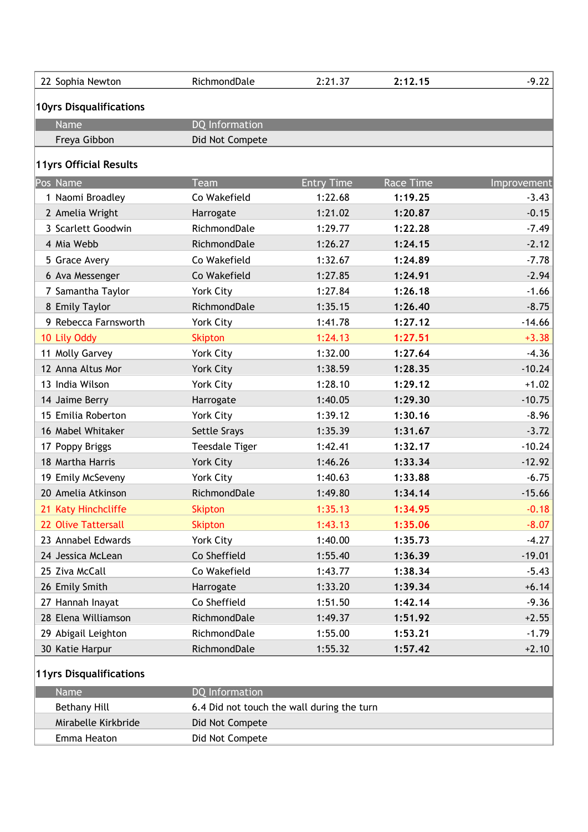| 22 Sophia Newton               | RichmondDale                               | 2:21.37           | 2:12.15          | $-9.22$     |  |
|--------------------------------|--------------------------------------------|-------------------|------------------|-------------|--|
| <b>10yrs Disqualifications</b> |                                            |                   |                  |             |  |
| <b>Name</b>                    | DQ Information                             |                   |                  |             |  |
| Freya Gibbon                   | Did Not Compete                            |                   |                  |             |  |
| <b>11yrs Official Results</b>  |                                            |                   |                  |             |  |
| Pos Name                       | <b>Team</b>                                | <b>Entry Time</b> | <b>Race Time</b> | Improvement |  |
| 1 Naomi Broadley               | Co Wakefield                               | 1:22.68           | 1:19.25          | $-3.43$     |  |
| 2 Amelia Wright                | Harrogate                                  | 1:21.02           | 1:20.87          | $-0.15$     |  |
| 3 Scarlett Goodwin             | RichmondDale                               | 1:29.77           | 1:22.28          | $-7.49$     |  |
| 4 Mia Webb                     | RichmondDale                               | 1:26.27           | 1:24.15          | $-2.12$     |  |
| 5 Grace Avery                  | Co Wakefield                               | 1:32.67           | 1:24.89          | $-7.78$     |  |
| 6 Ava Messenger                | Co Wakefield                               | 1:27.85           | 1:24.91          | $-2.94$     |  |
| 7 Samantha Taylor              | York City                                  | 1:27.84           | 1:26.18          | $-1.66$     |  |
| 8 Emily Taylor                 | RichmondDale                               | 1:35.15           | 1:26.40          | $-8.75$     |  |
| 9 Rebecca Farnsworth           | York City                                  | 1:41.78           | 1:27.12          | $-14.66$    |  |
| 10 Lily Oddy                   | <b>Skipton</b>                             | 1:24.13           | 1:27.51          | $+3.38$     |  |
| 11 Molly Garvey                | York City                                  | 1:32.00           | 1:27.64          | $-4.36$     |  |
| 12 Anna Altus Mor              | York City                                  | 1:38.59           | 1:28.35          | $-10.24$    |  |
| 13 India Wilson                | York City                                  | 1:28.10           | 1:29.12          | $+1.02$     |  |
| 14 Jaime Berry                 | Harrogate                                  | 1:40.05           | 1:29.30          | $-10.75$    |  |
| 15 Emilia Roberton             | York City                                  | 1:39.12           | 1:30.16          | $-8.96$     |  |
| 16 Mabel Whitaker              | Settle Srays                               | 1:35.39           | 1:31.67          | $-3.72$     |  |
| 17 Poppy Briggs                | <b>Teesdale Tiger</b>                      | 1:42.41           | 1:32.17          | $-10.24$    |  |
| 18 Martha Harris               | York City                                  | 1:46.26           | 1:33.34          | $-12.92$    |  |
| 19 Emily McSeveny              | York City                                  | 1:40.63           | 1:33.88          | $-6.75$     |  |
| 20 Amelia Atkinson             | RichmondDale                               | 1:49.80           | 1:34.14          | $-15.66$    |  |
| 21 Katy Hinchcliffe            | <b>Skipton</b>                             | 1:35.13           | 1:34.95          | $-0.18$     |  |
| 22 Olive Tattersall            | <b>Skipton</b>                             | 1:43.13           | 1:35.06          | $-8.07$     |  |
| 23 Annabel Edwards             | York City                                  | 1:40.00           | 1:35.73          | $-4.27$     |  |
| 24 Jessica McLean              | Co Sheffield                               | 1:55.40           | 1:36.39          | $-19.01$    |  |
| 25 Ziva McCall                 | Co Wakefield                               | 1:43.77           | 1:38.34          | $-5.43$     |  |
| 26 Emily Smith                 | Harrogate                                  | 1:33.20           | 1:39.34          | $+6.14$     |  |
| 27 Hannah Inayat               | Co Sheffield                               | 1:51.50           | 1:42.14          | $-9.36$     |  |
| 28 Elena Williamson            | RichmondDale                               | 1:49.37           | 1:51.92          | $+2.55$     |  |
| 29 Abigail Leighton            | RichmondDale                               | 1:55.00           | 1:53.21          | $-1.79$     |  |
| 30 Katie Harpur                | RichmondDale                               | 1:55.32           | 1:57.42          | $+2.10$     |  |
| <b>11yrs Disqualifications</b> |                                            |                   |                  |             |  |
| Name                           | DQ Information                             |                   |                  |             |  |
| Bethany Hill                   | 6.4 Did not touch the wall during the turn |                   |                  |             |  |
| Mirabelle Kirkbride            | Did Not Compete                            |                   |                  |             |  |
| Emma Heaton                    | Did Not Compete                            |                   |                  |             |  |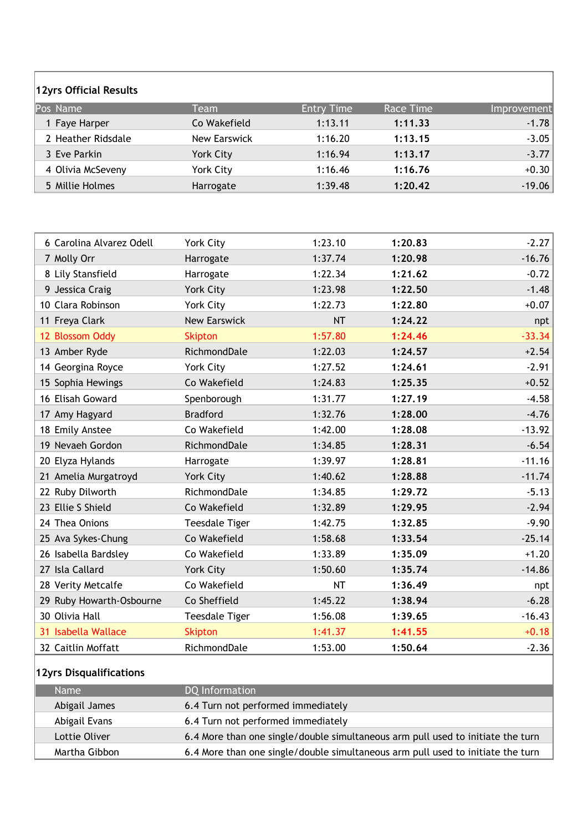| Pos Name           | Team                | <b>Entry Time</b> | Race Time | Improvement |
|--------------------|---------------------|-------------------|-----------|-------------|
| 1 Faye Harper      | Co Wakefield        | 1:13.11           | 1:11.33   | $-1.78$     |
| 2 Heather Ridsdale | <b>New Earswick</b> | 1:16.20           | 1:13.15   | $-3.05$     |
| 3 Eve Parkin       | York City           | 1:16.94           | 1:13.17   | $-3.77$     |
| 4 Olivia McSeveny  | York City           | 1:16.46           | 1:16.76   | $+0.30$     |
| 5 Millie Holmes    | Harrogate           | 1:39.48           | 1:20.42   | $-19.06$    |

| 6 Carolina Alvarez Odell | York City             | 1:23.10   | 1:20.83 | $-2.27$  |
|--------------------------|-----------------------|-----------|---------|----------|
| 7 Molly Orr              | Harrogate             | 1:37.74   | 1:20.98 | $-16.76$ |
| 8 Lily Stansfield        | Harrogate             | 1:22.34   | 1:21.62 | $-0.72$  |
| 9 Jessica Craig          | York City             | 1:23.98   | 1:22.50 | $-1.48$  |
| 10 Clara Robinson        | York City             | 1:22.73   | 1:22.80 | $+0.07$  |
| 11 Freya Clark           | <b>New Earswick</b>   | <b>NT</b> | 1:24.22 | npt      |
| 12 Blossom Oddy          | <b>Skipton</b>        | 1:57.80   | 1:24.46 | $-33.34$ |
| 13 Amber Ryde            | RichmondDale          | 1:22.03   | 1:24.57 | $+2.54$  |
| 14 Georgina Royce        | York City             | 1:27.52   | 1:24.61 | $-2.91$  |
| 15 Sophia Hewings        | Co Wakefield          | 1:24.83   | 1:25.35 | $+0.52$  |
| 16 Elisah Goward         | Spenborough           | 1:31.77   | 1:27.19 | $-4.58$  |
| 17 Amy Hagyard           | <b>Bradford</b>       | 1:32.76   | 1:28.00 | $-4.76$  |
| 18 Emily Anstee          | Co Wakefield          | 1:42.00   | 1:28.08 | $-13.92$ |
| 19 Nevaeh Gordon         | RichmondDale          | 1:34.85   | 1:28.31 | $-6.54$  |
| 20 Elyza Hylands         | Harrogate             | 1:39.97   | 1:28.81 | $-11.16$ |
| 21 Amelia Murgatroyd     | York City             | 1:40.62   | 1:28.88 | $-11.74$ |
| 22 Ruby Dilworth         | RichmondDale          | 1:34.85   | 1:29.72 | $-5.13$  |
| 23 Ellie S Shield        | Co Wakefield          | 1:32.89   | 1:29.95 | $-2.94$  |
| 24 Thea Onions           | <b>Teesdale Tiger</b> | 1:42.75   | 1:32.85 | $-9.90$  |
| 25 Ava Sykes-Chung       | Co Wakefield          | 1:58.68   | 1:33.54 | $-25.14$ |
| 26 Isabella Bardsley     | Co Wakefield          | 1:33.89   | 1:35.09 | $+1.20$  |
| 27 Isla Callard          | York City             | 1:50.60   | 1:35.74 | $-14.86$ |
| 28 Verity Metcalfe       | Co Wakefield          | <b>NT</b> | 1:36.49 | npt      |
| 29 Ruby Howarth-Osbourne | Co Sheffield          | 1:45.22   | 1:38.94 | $-6.28$  |
| 30 Olivia Hall           | <b>Teesdale Tiger</b> | 1:56.08   | 1:39.65 | $-16.43$ |
| 31 Isabella Wallace      | <b>Skipton</b>        | 1:41.37   | 1:41.55 | $+0.18$  |
| 32 Caitlin Moffatt       | RichmondDale          | 1:53.00   | 1:50.64 | $-2.36$  |

## **12yrs Disqualifications**

| <b>Name</b>   | DQ Information                                                                  |
|---------------|---------------------------------------------------------------------------------|
| Abigail James | 6.4 Turn not performed immediately                                              |
| Abigail Evans | 6.4 Turn not performed immediately                                              |
| Lottie Oliver | 6.4 More than one single/double simultaneous arm pull used to initiate the turn |
| Martha Gibbon | 6.4 More than one single/double simultaneous arm pull used to initiate the turn |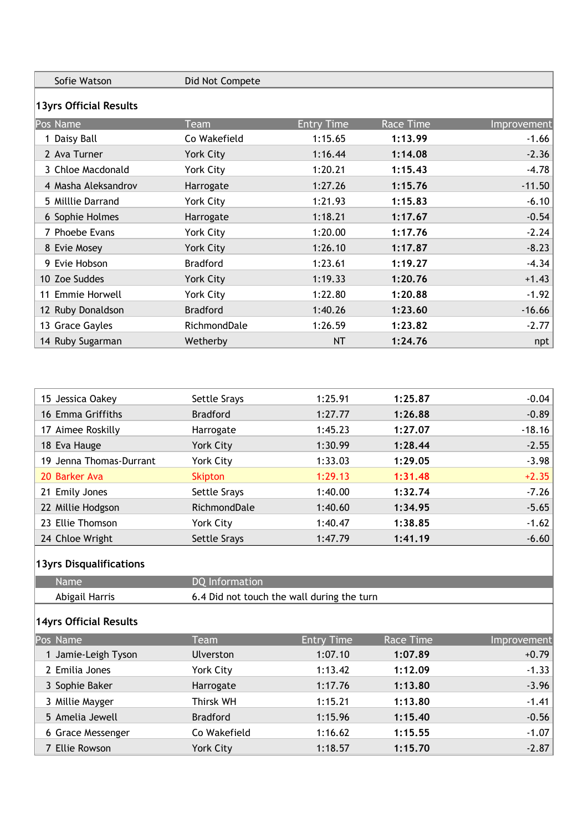| Sofie Watson           | Did Not Compete  |                   |                  |             |
|------------------------|------------------|-------------------|------------------|-------------|
| 13yrs Official Results |                  |                   |                  |             |
| Pos Name               | Team             | <b>Entry Time</b> | <b>Race Time</b> | Improvement |
| 1 Daisy Ball           | Co Wakefield     | 1:15.65           | 1:13.99          | $-1.66$     |
| 2 Ava Turner           | York City        | 1:16.44           | 1:14.08          | $-2.36$     |
| 3 Chloe Macdonald      | York City        | 1:20.21           | 1:15.43          | $-4.78$     |
| 4 Masha Aleksandrov    | Harrogate        | 1:27.26           | 1:15.76          | $-11.50$    |
| 5 Milllie Darrand      | York City        | 1:21.93           | 1:15.83          | $-6.10$     |
| 6 Sophie Holmes        | Harrogate        | 1:18.21           | 1:17.67          | $-0.54$     |
| 7 Phoebe Evans         | York City        | 1:20.00           | 1:17.76          | $-2.24$     |
| 8 Evie Mosey           | York City        | 1:26.10           | 1:17.87          | $-8.23$     |
| 9 Evie Hobson          | <b>Bradford</b>  | 1:23.61           | 1:19.27          | $-4.34$     |
| 10 Zoe Suddes          | York City        | 1:19.33           | 1:20.76          | $+1.43$     |
| 11 Emmie Horwell       | <b>York City</b> | 1:22.80           | 1:20.88          | $-1.92$     |
| 12 Ruby Donaldson      | <b>Bradford</b>  | 1:40.26           | 1:23.60          | $-16.66$    |
| 13 Grace Gayles        | RichmondDale     | 1:26.59           | 1:23.82          | $-2.77$     |
| 14 Ruby Sugarman       | Wetherby         | <b>NT</b>         | 1:24.76          | npt         |

| 15 Jessica Oakey        | Settle Srays    | 1:25.91 | 1:25.87 | $-0.04$  |
|-------------------------|-----------------|---------|---------|----------|
| 16 Emma Griffiths       | <b>Bradford</b> | 1:27.77 | 1:26.88 | $-0.89$  |
| 17 Aimee Roskilly       | Harrogate       | 1:45.23 | 1:27.07 | $-18.16$ |
| 18 Eva Hauge            | York City       | 1:30.99 | 1:28.44 | $-2.55$  |
| 19 Jenna Thomas-Durrant | York City       | 1:33.03 | 1:29.05 | $-3.98$  |
| 20 Barker Ava           | <b>Skipton</b>  | 1:29.13 | 1:31.48 | $+2.35$  |
| 21 Emily Jones          | Settle Srays    | 1:40.00 | 1:32.74 | $-7.26$  |
| 22 Millie Hodgson       | RichmondDale    | 1:40.60 | 1:34.95 | $-5.65$  |
| 23 Ellie Thomson        | York City       | 1:40.47 | 1:38.85 | $-1.62$  |
| 24 Chloe Wright         | Settle Srays    | 1:47.79 | 1:41.19 | $-6.60$  |

| Name                   | DQ Information   |                                            |           |             |  |
|------------------------|------------------|--------------------------------------------|-----------|-------------|--|
| Abigail Harris         |                  | 6.4 Did not touch the wall during the turn |           |             |  |
| 14yrs Official Results |                  |                                            |           |             |  |
| Pos Name               | Team             | <b>Entry Time</b>                          | Race Time | Improvement |  |
| 1 Jamie-Leigh Tyson    | <b>Ulverston</b> | 1:07.10                                    | 1:07.89   | $+0.79$     |  |
| 2 Emilia Jones         | York City        | 1:13.42                                    | 1:12.09   | $-1.33$     |  |
| 3 Sophie Baker         | Harrogate        | 1:17.76                                    | 1:13.80   | $-3.96$     |  |

 Millie Mayger Thirsk WH 1:15.21 **1:13.80** -1.41 Amelia Jewell Bradford 1:15.96 **1:15.40** -0.56 Grace Messenger Co Wakefield 1:16.62 **1:15.55** -1.07 Ellie Rowson York City 1:18.57 **1:15.70** -2.87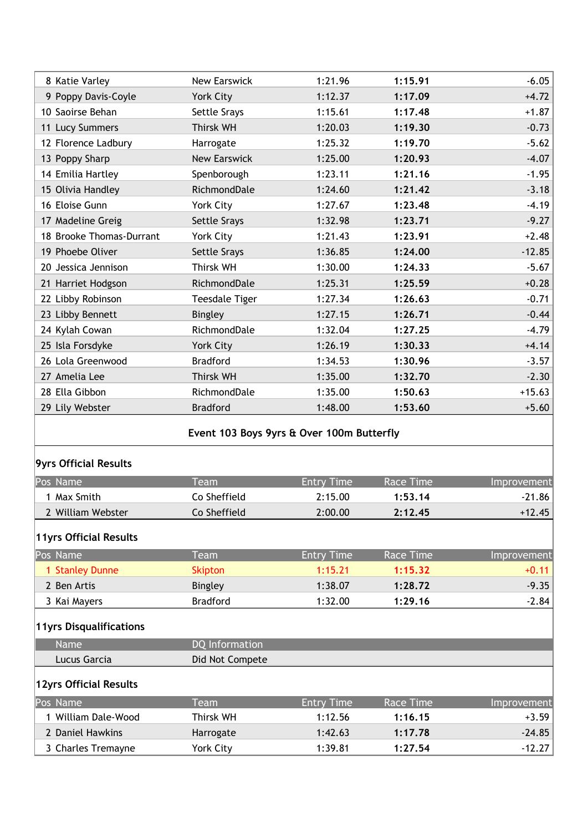| 8 Katie Varley                 | New Earswick                              | 1:21.96                      | 1:15.91                     | $-6.05$                           |
|--------------------------------|-------------------------------------------|------------------------------|-----------------------------|-----------------------------------|
| 9 Poppy Davis-Coyle            | York City                                 | 1:12.37                      | 1:17.09                     | $+4.72$                           |
| 10 Saoirse Behan               | Settle Srays                              | 1:15.61                      | 1:17.48                     | $+1.87$                           |
| 11 Lucy Summers                | Thirsk WH                                 | 1:20.03                      | 1:19.30                     | $-0.73$                           |
| 12 Florence Ladbury            | Harrogate                                 | 1:25.32                      | 1:19.70                     | $-5.62$                           |
| 13 Poppy Sharp                 | New Earswick                              | 1:25.00                      | 1:20.93                     | $-4.07$                           |
| 14 Emilia Hartley              | Spenborough                               | 1:23.11                      | 1:21.16                     | $-1.95$                           |
| 15 Olivia Handley              | RichmondDale                              | 1:24.60                      | 1:21.42                     | $-3.18$                           |
| 16 Eloise Gunn                 | York City                                 | 1:27.67                      | 1:23.48                     | $-4.19$                           |
| 17 Madeline Greig              | Settle Srays                              | 1:32.98                      | 1:23.71                     | $-9.27$                           |
| 18 Brooke Thomas-Durrant       | York City                                 | 1:21.43                      | 1:23.91                     | $+2.48$                           |
| 19 Phoebe Oliver               | Settle Srays                              | 1:36.85                      | 1:24.00                     | $-12.85$                          |
| 20 Jessica Jennison            | Thirsk WH                                 | 1:30.00                      | 1:24.33                     | $-5.67$                           |
| 21 Harriet Hodgson             | RichmondDale                              | 1:25.31                      | 1:25.59                     | $+0.28$                           |
| 22 Libby Robinson              | <b>Teesdale Tiger</b>                     | 1:27.34                      | 1:26.63                     | $-0.71$                           |
| 23 Libby Bennett               | <b>Bingley</b>                            | 1:27.15                      | 1:26.71                     | $-0.44$                           |
| 24 Kylah Cowan                 | RichmondDale                              | 1:32.04                      | 1:27.25                     | $-4.79$                           |
| 25 Isla Forsdyke               | York City                                 | 1:26.19                      | 1:30.33                     | $+4.14$                           |
| 26 Lola Greenwood              | <b>Bradford</b>                           | 1:34.53                      | 1:30.96                     | $-3.57$                           |
| 27 Amelia Lee                  | Thirsk WH                                 | 1:35.00                      | 1:32.70                     | $-2.30$                           |
| 28 Ella Gibbon                 | RichmondDale                              | 1:35.00                      | 1:50.63                     | $+15.63$                          |
| 29 Lily Webster                | <b>Bradford</b>                           | 1:48.00                      | 1:53.60                     | $+5.60$                           |
|                                | Event 103 Boys 9yrs & Over 100m Butterfly |                              |                             |                                   |
| <b>9yrs Official Results</b>   |                                           |                              |                             |                                   |
| Pos Name                       | <b>Team</b>                               | <b>Entry Time</b>            | <b>Race Time</b>            | Improvement                       |
| 1 Max Smith                    | Co Sheffield                              | 2:15.00                      | 1:53.14                     | $-21.86$                          |
| 2 William Webster              | Co Sheffield                              | 2:00.00                      | 2:12.45                     | $+12.45$                          |
| <b>11yrs Official Results</b>  |                                           |                              |                             |                                   |
| Pos Name                       |                                           |                              |                             |                                   |
| 1 Stanley Dunne                |                                           |                              |                             |                                   |
|                                | <b>Team</b>                               | <b>Entry Time</b><br>1:15.21 | <b>Race Time</b><br>1:15.32 |                                   |
| 2 Ben Artis                    | <b>Skipton</b><br><b>Bingley</b>          | 1:38.07                      | 1:28.72                     | Improvement<br>$+0.11$<br>$-9.35$ |
| 3 Kai Mayers                   | <b>Bradford</b>                           | 1:32.00                      | 1:29.16                     |                                   |
| <b>11yrs Disqualifications</b> |                                           |                              |                             |                                   |
| Name                           | DQ Information                            |                              |                             | $-2.84$                           |
| Lucus Garcia                   | Did Not Compete                           |                              |                             |                                   |
| <b>12yrs Official Results</b>  |                                           |                              |                             |                                   |
| Pos Name                       | <b>Team</b>                               | <b>Entry Time</b>            | <b>Race Time</b>            | Improvement                       |
| 1 William Dale-Wood            | Thirsk WH                                 | 1:12.56                      | 1:16.15                     | $+3.59$                           |
| 2 Daniel Hawkins               | Harrogate<br>York City                    | 1:42.63<br>1:39.81           | 1:17.78<br>1:27.54          | $-24.85$<br>$-12.27$              |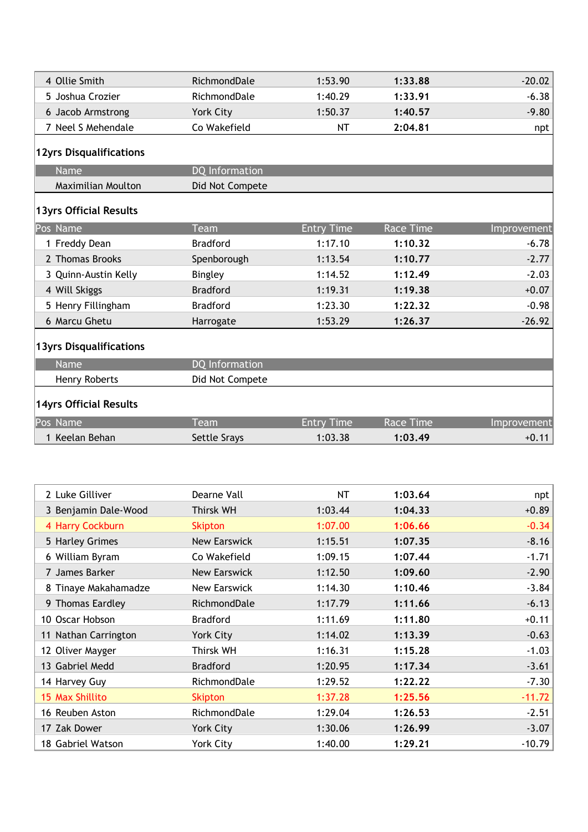| 4 Ollie Smith                  | RichmondDale        | 1:53.90           | 1:33.88          | $-20.02$    |
|--------------------------------|---------------------|-------------------|------------------|-------------|
| 5 Joshua Crozier               | RichmondDale        | 1:40.29           | 1:33.91          | $-6.38$     |
| 6 Jacob Armstrong              | York City           | 1:50.37           | 1:40.57          | $-9.80$     |
| 7 Neel S Mehendale             | Co Wakefield        | <b>NT</b>         | 2:04.81          | npt         |
| <b>12yrs Disqualifications</b> |                     |                   |                  |             |
| <b>Name</b>                    | DQ Information      |                   |                  |             |
| <b>Maximilian Moulton</b>      | Did Not Compete     |                   |                  |             |
| 13yrs Official Results         |                     |                   |                  |             |
| Pos Name                       | Team                | <b>Entry Time</b> | <b>Race Time</b> | Improvement |
| 1 Freddy Dean                  | <b>Bradford</b>     | 1:17.10           | 1:10.32          | $-6.78$     |
| 2 Thomas Brooks                | Spenborough         | 1:13.54           | 1:10.77          | $-2.77$     |
| 3 Quinn-Austin Kelly           | <b>Bingley</b>      | 1:14.52           | 1:12.49          | $-2.03$     |
| 4 Will Skiggs                  | <b>Bradford</b>     | 1:19.31           | 1:19.38          | $+0.07$     |
| 5 Henry Fillingham             | <b>Bradford</b>     | 1:23.30           | 1:22.32          | $-0.98$     |
| 6 Marcu Ghetu                  | Harrogate           | 1:53.29           | 1:26.37          | $-26.92$    |
| 13yrs Disqualifications        |                     |                   |                  |             |
| <b>Name</b>                    | DQ Information      |                   |                  |             |
| Henry Roberts                  | Did Not Compete     |                   |                  |             |
| <b>14yrs Official Results</b>  |                     |                   |                  |             |
|                                |                     |                   |                  |             |
| Pos Name                       | <b>Team</b>         | <b>Entry Time</b> | <b>Race Time</b> | Improvement |
| 1 Keelan Behan                 | Settle Srays        | 1:03.38           | 1:03.49          | $+0.11$     |
|                                |                     |                   |                  |             |
| 2 Luke Gilliver                | Dearne Vall         | <b>NT</b>         | 1:03.64          | npt         |
| 3 Benjamin Dale-Wood           | Thirsk WH           | 1:03.44           | 1:04.33          | $+0.89$     |
| 4 Harry Cockburn               | <b>Skipton</b>      | 1:07.00           | 1:06.66          | $-0.34$     |
| 5 Harley Grimes                | <b>New Earswick</b> | 1:15.51           | 1:07.35          | $-8.16$     |
| 6 William Byram                | Co Wakefield        | 1:09.15           | 1:07.44          | $-1.71$     |
| 7 James Barker                 | <b>New Earswick</b> | 1:12.50           | 1:09.60          | $-2.90$     |
| 8 Tinaye Makahamadze           | <b>New Earswick</b> | 1:14.30           | 1:10.46          | $-3.84$     |
| 9 Thomas Eardley               | RichmondDale        | 1:17.79           | 1:11.66          | $-6.13$     |
| 10 Oscar Hobson                | <b>Bradford</b>     | 1:11.69           | 1:11.80          | $+0.11$     |
| 11 Nathan Carrington           | York City           | 1:14.02           | 1:13.39          | $-0.63$     |
| 12 Oliver Mayger               | Thirsk WH           | 1:16.31           | 1:15.28          | $-1.03$     |
| 13 Gabriel Medd                | <b>Bradford</b>     | 1:20.95           | 1:17.34          | $-3.61$     |
| 14 Harvey Guy                  | RichmondDale        | 1:29.52           | 1:22.22          | $-7.30$     |
| 15 Max Shillito                | <b>Skipton</b>      | 1:37.28           | 1:25.56          | $-11.72$    |
| 16 Reuben Aston                | RichmondDale        | 1:29.04           | 1:26.53          | $-2.51$     |
| 17 Zak Dower                   | York City           | 1:30.06           | 1:26.99          | $-3.07$     |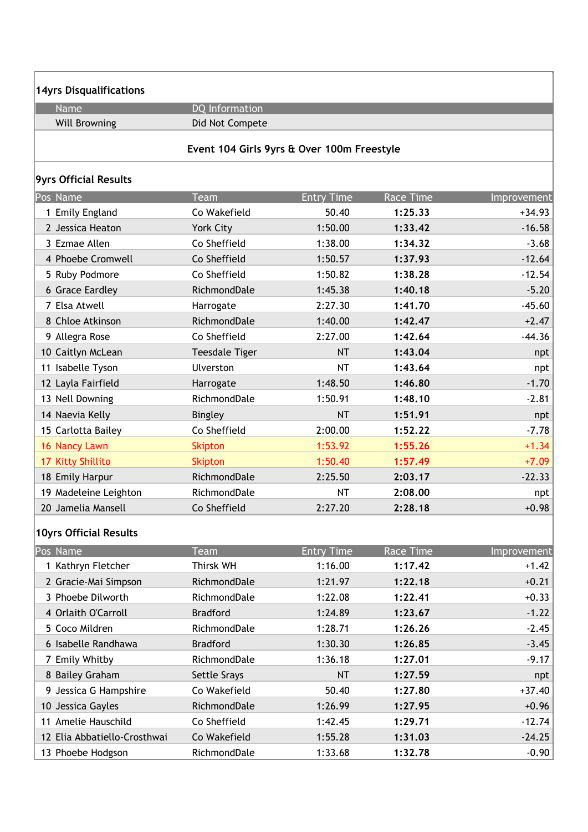| <b>14yrs Disqualifications</b> |                                            |                   |                  |             |
|--------------------------------|--------------------------------------------|-------------------|------------------|-------------|
| <b>Name</b>                    | DQ Information                             |                   |                  |             |
| Will Browning                  | Did Not Compete                            |                   |                  |             |
|                                | Event 104 Girls 9yrs & Over 100m Freestyle |                   |                  |             |
| <b>9yrs Official Results</b>   |                                            |                   |                  |             |
| Pos Name                       | Team                                       | <b>Entry Time</b> | <b>Race Time</b> | Improvement |
| 1 Emily England                | Co Wakefield                               | 50.40             | 1:25.33          | $+34.93$    |
| 2 Jessica Heaton               | York City                                  | 1:50.00           | 1:33.42          | $-16.58$    |
| 3 Ezmae Allen                  | Co Sheffield                               | 1:38.00           | 1:34.32          | $-3.68$     |
| 4 Phoebe Cromwell              | Co Sheffield                               | 1:50.57           | 1:37.93          | $-12.64$    |
| 5 Ruby Podmore                 | Co Sheffield                               | 1:50.82           | 1:38.28          | $-12.54$    |
| 6 Grace Eardley                | RichmondDale                               | 1:45.38           | 1:40.18          | $-5.20$     |
| 7 Elsa Atwell                  | Harrogate                                  | 2:27.30           | 1:41.70          | $-45.60$    |
| 8 Chloe Atkinson               | RichmondDale                               | 1:40.00           | 1:42.47          | $+2.47$     |
| 9 Allegra Rose                 | Co Sheffield                               | 2:27.00           | 1:42.64          | $-44.36$    |
| 10 Caitlyn McLean              | <b>Teesdale Tiger</b>                      | <b>NT</b>         | 1:43.04          | npt         |
| 11 Isabelle Tyson              | Ulverston                                  | <b>NT</b>         | 1:43.64          | npt         |
| 12 Layla Fairfield             | Harrogate                                  | 1:48.50           | 1:46.80          | $-1.70$     |
| 13 Nell Downing                | RichmondDale                               | 1:50.91           | 1:48.10          | $-2.81$     |
| 14 Naevia Kelly                | <b>Bingley</b>                             | <b>NT</b>         | 1:51.91          | npt         |
| 15 Carlotta Bailey             | Co Sheffield                               | 2:00.00           | 1:52.22          | $-7.78$     |
| 16 Nancy Lawn                  | <b>Skipton</b>                             | 1:53.92           | 1:55.26          | $+1.34$     |
| 17 Kitty Shillito              | <b>Skipton</b>                             | 1:50.40           | 1:57.49          | $+7.09$     |
| 18 Emily Harpur                | RichmondDale                               | 2:25.50           | 2:03.17          | $-22.33$    |
| 19 Madeleine Leighton          | RichmondDale                               | <b>NT</b>         | 2:08.00          | npt         |
| 20 Jamelia Mansell             | Co Sheffield                               | 2:27.20           | 2:28.18          | $+0.98$     |
| 10yrs Official Results         |                                            |                   |                  |             |
| Pos Name                       | <b>Team</b>                                | <b>Entry Time</b> | <b>Race Time</b> | Improvement |
| 1 Kathryn Fletcher             | <b>Thirsk WH</b>                           | 1:16.00           | 1:17.42          | $+1.42$     |
| 2 Gracie-Mai Simpson           | RichmondDale                               | 1:21.97           | 1:22.18          | $+0.21$     |
| 3 Phoebe Dilworth              | RichmondDale                               | 1:22.08           | 1:22.41          | $+0.33$     |
| 4 Orlaith O'Carroll            | <b>Bradford</b>                            | 1:24.89           | 1:23.67          | $-1.22$     |
| 5 Coco Mildren                 | RichmondDale                               | 1:28.71           | 1:26.26          | $-2.45$     |
| 6 Isabelle Randhawa            | <b>Bradford</b>                            | 1:30.30           | 1:26.85          | $-3.45$     |
| 7 Emily Whitby                 | RichmondDale                               | 1:36.18           | 1:27.01          | $-9.17$     |
| 8 Bailey Graham                | Settle Srays                               | <b>NT</b>         | 1:27.59          | npt         |
| 9 Jessica G Hampshire          | Co Wakefield                               | 50.40             | 1:27.80          | $+37.40$    |
| 10 Jessica Gayles              | RichmondDale                               | 1:26.99           | 1:27.95          | $+0.96$     |
| 11 Amelie Hauschild            | Co Sheffield                               | 1:42.45           | 1:29.71          | $-12.74$    |
| 12 Elia Abbatiello-Crosthwai   | Co Wakefield                               | 1:55.28           | 1:31.03          | $-24.25$    |
| 13 Phoebe Hodgson              | RichmondDale                               | 1:33.68           | 1:32.78          | $-0.90$     |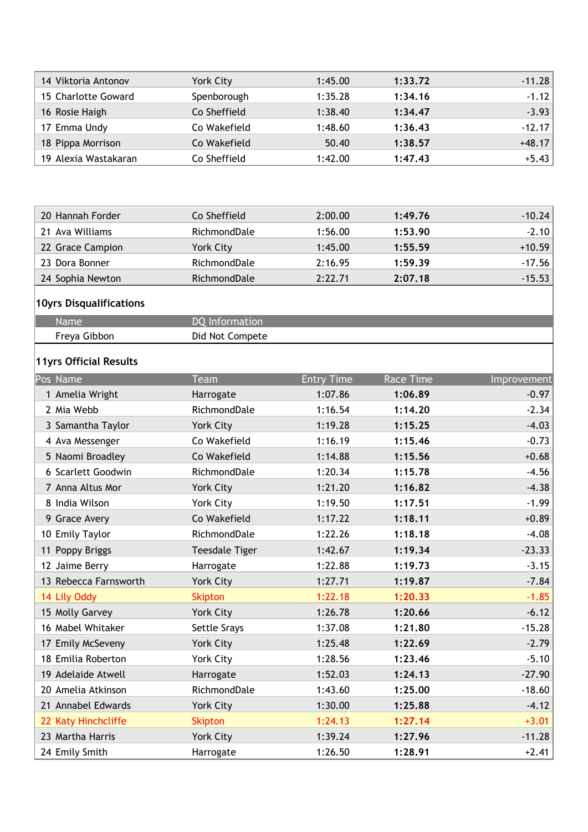| 14 Viktoria Antonov  | York City    | 1:45.00 | 1:33.72 | $-11.28$ |
|----------------------|--------------|---------|---------|----------|
| 15 Charlotte Goward  | Spenborough  | 1:35.28 | 1:34.16 | $-1.12$  |
| 16 Rosie Haigh       | Co Sheffield | 1:38.40 | 1:34.47 | $-3.93$  |
| 17 Emma Undy         | Co Wakefield | 1:48.60 | 1:36.43 | $-12.17$ |
| 18 Pippa Morrison    | Co Wakefield | 50.40   | 1:38.57 | $+48.17$ |
| 19 Alexia Wastakaran | Co Sheffield | 1:42.00 | 1:47.43 | $+5.43$  |

| 20 Hannah Forder        | Co Sheffield    | 2:00.00 | 1:49.76 | $-10.24$ |
|-------------------------|-----------------|---------|---------|----------|
| 21 Ava Williams         | RichmondDale    | 1:56.00 | 1:53.90 | $-2.10$  |
| 22 Grace Campion        | York City       | 1:45.00 | 1:55.59 | $+10.59$ |
| 23 Dora Bonner          | RichmondDale    | 2:16.95 | 1:59.39 | $-17.56$ |
| 24 Sophia Newton        | RichmondDale    | 2:22.71 | 2:07.18 | $-15.53$ |
| 10yrs Disqualifications |                 |         |         |          |
| <b>Name</b>             | DQ Information  |         |         |          |
| Freya Gibbon            | Did Not Compete |         |         |          |
| 11 Yrs Official Results |                 |         |         |          |

### Pos Name Team Team Entry Time Race Time Improvement Amelia Wright Harrogate 1:07.86 **1:06.89** -0.97 Mia Webb RichmondDale 1:16.54 **1:14.20** -2.34 Samantha Taylor York City 1:19.28 **1:15.25** -4.03 Ava Messenger Co Wakefield 1:16.19 **1:15.46** -0.73 Naomi Broadley Co Wakefield 1:14.88 **1:15.56** +0.68 Scarlett Goodwin RichmondDale 1:20.34 **1:15.78** -4.56 Anna Altus Mor York City 1:21.20 **1:16.82** -4.38 India Wilson York City 1:19.50 **1:17.51** -1.99 Grace Avery Co Wakefield 1:17.22 **1:18.11** +0.89 Emily Taylor RichmondDale 1:22.26 **1:18.18** -4.08 Poppy Briggs Teesdale Tiger 1:42.67 **1:19.34** -23.33 Jaime Berry Harrogate 1:22.88 **1:19.73** -3.15 Rebecca Farnsworth York City 1:27.71 **1:19.87** -7.84 Lily Oddy Skipton 1:22.18 **1:20.33** -1.85 Molly Garvey York City 1:26.78 **1:20.66** -6.12 Mabel Whitaker Settle Srays 1:37.08 **1:21.80** -15.28 Emily McSeveny York City 1:25.48 **1:22.69** -2.79 Emilia Roberton York City 1:28.56 **1:23.46** -5.10 Adelaide Atwell Harrogate 1:52.03 **1:24.13** -27.90 Amelia Atkinson RichmondDale 1:43.60 **1:25.00** -18.60 Annabel Edwards York City 1:30.00 **1:25.88** -4.12 Katy Hinchcliffe Skipton 1:24.13 **1:27.14** +3.01 Martha Harris York City 1:39.24 **1:27.96** -11.28

Emily Smith Harrogate 1:26.50 **1:28.91** +2.41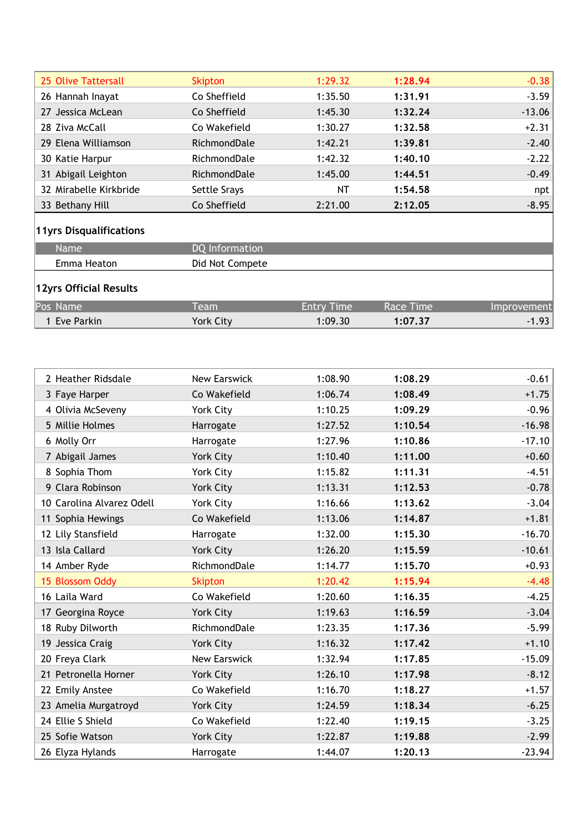| 25 Olive Tattersall    | <b>Skipton</b> | 1:29.32 | 1:28.94 | $-0.38$  |
|------------------------|----------------|---------|---------|----------|
| 26 Hannah Inayat       | Co Sheffield   | 1:35.50 | 1:31.91 | $-3.59$  |
| 27 Jessica McLean      | Co Sheffield   | 1:45.30 | 1:32.24 | $-13.06$ |
| 28 Ziva McCall         | Co Wakefield   | 1:30.27 | 1:32.58 | $+2.31$  |
| 29 Elena Williamson    | RichmondDale   | 1:42.21 | 1:39.81 | $-2.40$  |
| 30 Katie Harpur        | RichmondDale   | 1:42.32 | 1:40.10 | $-2.22$  |
| 31 Abigail Leighton    | RichmondDale   | 1:45.00 | 1:44.51 | $-0.49$  |
| 32 Mirabelle Kirkbride | Settle Srays   | ΝT      | 1:54.58 | npt      |
| 33 Bethany Hill        | Co Sheffield   | 2:21.00 | 2:12.05 | $-8.95$  |

| Name        | <b>DQ</b> Information |  |
|-------------|-----------------------|--|
| Emma Heaton | Did Not Compete       |  |
|             |                       |  |

| Pos Name   | eam       | <b>Entry Time</b> | Race Time | <b>Improvement</b> |
|------------|-----------|-------------------|-----------|--------------------|
| Eve Parkin | York City | 1:09.30           | 1:07.37   | .93 <sup>2</sup>   |

| 2 Heather Ridsdale        | New Earswick        | 1:08.90 | 1:08.29 | $-0.61$  |
|---------------------------|---------------------|---------|---------|----------|
| 3 Faye Harper             | Co Wakefield        | 1:06.74 | 1:08.49 | $+1.75$  |
| 4 Olivia McSeveny         | York City           | 1:10.25 | 1:09.29 | $-0.96$  |
| 5 Millie Holmes           | Harrogate           | 1:27.52 | 1:10.54 | $-16.98$ |
| 6 Molly Orr               | Harrogate           | 1:27.96 | 1:10.86 | $-17.10$ |
| 7 Abigail James           | York City           | 1:10.40 | 1:11.00 | $+0.60$  |
| 8 Sophia Thom             | York City           | 1:15.82 | 1:11.31 | $-4.51$  |
| 9 Clara Robinson          | York City           | 1:13.31 | 1:12.53 | $-0.78$  |
| 10 Carolina Alvarez Odell | York City           | 1:16.66 | 1:13.62 | $-3.04$  |
| 11 Sophia Hewings         | Co Wakefield        | 1:13.06 | 1:14.87 | $+1.81$  |
| 12 Lily Stansfield        | Harrogate           | 1:32.00 | 1:15.30 | $-16.70$ |
| 13 Isla Callard           | York City           | 1:26.20 | 1:15.59 | $-10.61$ |
| 14 Amber Ryde             | RichmondDale        | 1:14.77 | 1:15.70 | $+0.93$  |
| 15 Blossom Oddy           | <b>Skipton</b>      | 1:20.42 | 1:15.94 | $-4.48$  |
| 16 Laila Ward             | Co Wakefield        | 1:20.60 | 1:16.35 | $-4.25$  |
| 17 Georgina Royce         | York City           | 1:19.63 | 1:16.59 | $-3.04$  |
| 18 Ruby Dilworth          | RichmondDale        | 1:23.35 | 1:17.36 | $-5.99$  |
| 19 Jessica Craig          | York City           | 1:16.32 | 1:17.42 | $+1.10$  |
| 20 Freya Clark            | <b>New Earswick</b> | 1:32.94 | 1:17.85 | $-15.09$ |
| 21 Petronella Horner      | York City           | 1:26.10 | 1:17.98 | $-8.12$  |
| 22 Emily Anstee           | Co Wakefield        | 1:16.70 | 1:18.27 | $+1.57$  |
| 23 Amelia Murgatroyd      | York City           | 1:24.59 | 1:18.34 | $-6.25$  |
| 24 Ellie S Shield         | Co Wakefield        | 1:22.40 | 1:19.15 | $-3.25$  |
| 25 Sofie Watson           | York City           | 1:22.87 | 1:19.88 | $-2.99$  |
| 26 Elyza Hylands          | Harrogate           | 1:44.07 | 1:20.13 | $-23.94$ |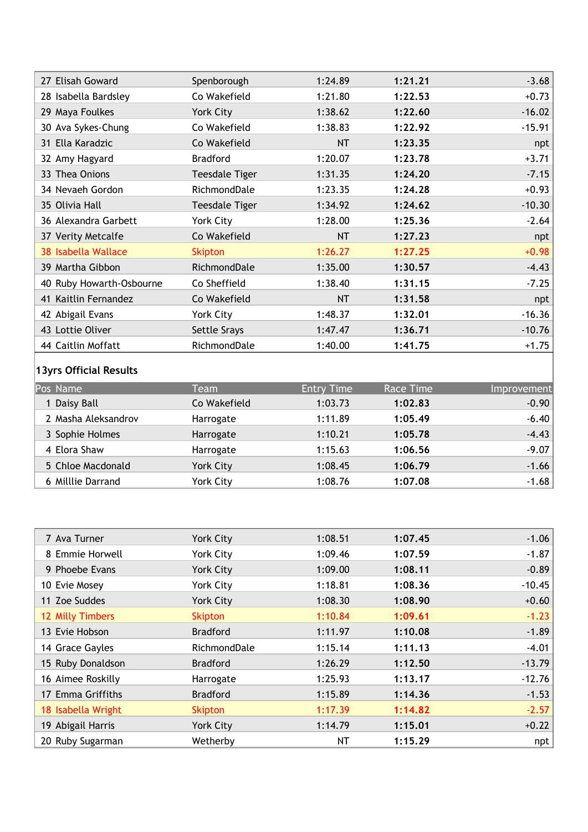| 27 Elisah Goward              | Spenborough           | 1:24.89           | 1:21.21          | $-3.68$     |
|-------------------------------|-----------------------|-------------------|------------------|-------------|
| 28 Isabella Bardsley          | Co Wakefield          | 1:21.80           | 1:22.53          | $+0.73$     |
| 29 Maya Foulkes               | York City             | 1:38.62           | 1:22.60          | $-16.02$    |
| 30 Ava Sykes-Chung            | Co Wakefield          | 1:38.83           | 1:22.92          | $-15.91$    |
| 31 Ella Karadzic              | Co Wakefield          | <b>NT</b>         | 1:23.35          | npt         |
| 32 Amy Hagyard                | <b>Bradford</b>       | 1:20.07           | 1:23.78          | $+3.71$     |
| 33 Thea Onions                | Teesdale Tiger        | 1:31.35           | 1:24.20          | $-7.15$     |
| 34 Nevaeh Gordon              | RichmondDale          | 1:23.35           | 1:24.28          | $+0.93$     |
| 35 Olivia Hall                | <b>Teesdale Tiger</b> | 1:34.92           | 1:24.62          | $-10.30$    |
| 36 Alexandra Garbett          | York City             | 1:28.00           | 1:25.36          | $-2.64$     |
| 37 Verity Metcalfe            | Co Wakefield          | <b>NT</b>         | 1:27.23          | npt         |
| 38 Isabella Wallace           | <b>Skipton</b>        | 1:26.27           | 1:27.25          | $+0.98$     |
| 39 Martha Gibbon              | RichmondDale          | 1:35.00           | 1:30.57          | $-4.43$     |
| 40 Ruby Howarth-Osbourne      | Co Sheffield          | 1:38.40           | 1:31.15          | $-7.25$     |
| 41 Kaitlin Fernandez          | Co Wakefield          | <b>NT</b>         | 1:31.58          | npt         |
| 42 Abigail Evans              | York City             | 1:48.37           | 1:32.01          | $-16.36$    |
| 43 Lottie Oliver              | <b>Settle Srays</b>   | 1:47.47           | 1:36.71          | $-10.76$    |
| 44 Caitlin Moffatt            | RichmondDale          | 1:40.00           | 1:41.75          | $+1.75$     |
| <b>13yrs Official Results</b> |                       |                   |                  |             |
| Pos Name                      | Team                  | <b>Entry Time</b> | <b>Race Time</b> | Improvement |
| 1 Daisy Ball                  | Co Wakefield          | 1:03.73           | 1:02.83          | $-0.90$     |
| 2 Masha Aleksandrov           | Harrogate             | 1:11.89           | 1:05.49          | $-6.40$     |
| 3 Sophie Holmes               | Harrogate             | 1:10.21           | 1:05.78          | $-4.43$     |
| 4 Elora Shaw                  | Harrogate             | 1:15.63           | 1:06.56          | $-9.07$     |

| 7 Ava Turner       | York City       | 1:08.51 | 1:07.45 | $-1.06$  |
|--------------------|-----------------|---------|---------|----------|
| 8 Emmie Horwell    | York City       | 1:09.46 | 1:07.59 | $-1.87$  |
| 9 Phoebe Evans     | York City       | 1:09.00 | 1:08.11 | $-0.89$  |
| 10 Evie Mosey      | York City       | 1:18.81 | 1:08.36 | $-10.45$ |
| 11 Zoe Suddes      | York City       | 1:08.30 | 1:08.90 | $+0.60$  |
| 12 Milly Timbers   | <b>Skipton</b>  | 1:10.84 | 1:09.61 | $-1.23$  |
| 13 Evie Hobson     | <b>Bradford</b> | 1:11.97 | 1:10.08 | $-1.89$  |
| 14 Grace Gayles    | RichmondDale    | 1:15.14 | 1:11.13 | $-4.01$  |
| 15 Ruby Donaldson  | <b>Bradford</b> | 1:26.29 | 1:12.50 | $-13.79$ |
| 16 Aimee Roskilly  | Harrogate       | 1:25.93 | 1:13.17 | $-12.76$ |
| 17 Emma Griffiths  | <b>Bradford</b> | 1:15.89 | 1:14.36 | $-1.53$  |
| 18 Isabella Wright | <b>Skipton</b>  | 1:17.39 | 1:14.82 | $-2.57$  |
| 19 Abigail Harris  | York City       | 1:14.79 | 1:15.01 | $+0.22$  |
| 20 Ruby Sugarman   | Wetherby        | ΝT      | 1:15.29 | npt      |
|                    |                 |         |         |          |

 Chloe Macdonald York City 1:08.45 **1:06.79** -1.66 Milllie Darrand York City 1:08.76 **1:07.08** -1.68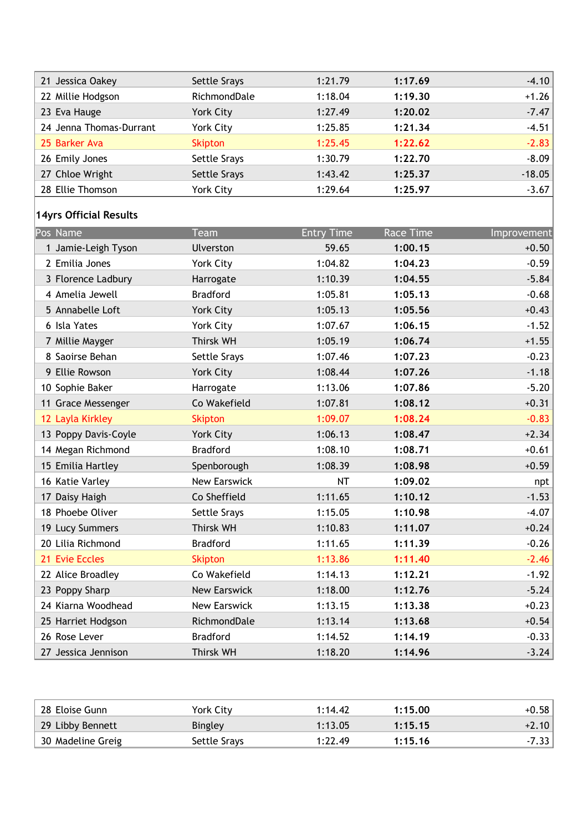| 21 Jessica Oakey        | Settle Srays   | 1:21.79 | 1:17.69 | $-4.10$  |
|-------------------------|----------------|---------|---------|----------|
| 22 Millie Hodgson       | RichmondDale   | 1:18.04 | 1:19.30 | $+1.26$  |
| 23 Eva Hauge            | York City      | 1:27.49 | 1:20.02 | $-7.47$  |
| 24 Jenna Thomas-Durrant | York City      | 1:25.85 | 1:21.34 | $-4.51$  |
| 25 Barker Ava           | <b>Skipton</b> | 1:25.45 | 1:22.62 | $-2.83$  |
| 26 Emily Jones          | Settle Srays   | 1:30.79 | 1:22.70 | $-8.09$  |
| 27 Chloe Wright         | Settle Srays   | 1:43.42 | 1:25.37 | $-18.05$ |
| 28 Ellie Thomson        | York City      | 1:29.64 | 1:25.97 | $-3.67$  |

| Pos Name             | <b>Team</b>         | <b>Entry Time</b> | <b>Race Time</b> | Improvement |
|----------------------|---------------------|-------------------|------------------|-------------|
| 1 Jamie-Leigh Tyson  | Ulverston           | 59.65             | 1:00.15          | $+0.50$     |
| 2 Emilia Jones       | York City           | 1:04.82           | 1:04.23          | $-0.59$     |
| 3 Florence Ladbury   | Harrogate           | 1:10.39           | 1:04.55          | $-5.84$     |
| 4 Amelia Jewell      | <b>Bradford</b>     | 1:05.81           | 1:05.13          | $-0.68$     |
| 5 Annabelle Loft     | York City           | 1:05.13           | 1:05.56          | $+0.43$     |
| 6 Isla Yates         | York City           | 1:07.67           | 1:06.15          | $-1.52$     |
| 7 Millie Mayger      | Thirsk WH           | 1:05.19           | 1:06.74          | $+1.55$     |
| 8 Saoirse Behan      | Settle Srays        | 1:07.46           | 1:07.23          | $-0.23$     |
| 9 Ellie Rowson       | York City           | 1:08.44           | 1:07.26          | $-1.18$     |
| 10 Sophie Baker      | Harrogate           | 1:13.06           | 1:07.86          | $-5.20$     |
| 11 Grace Messenger   | Co Wakefield        | 1:07.81           | 1:08.12          | $+0.31$     |
| 12 Layla Kirkley     | <b>Skipton</b>      | 1:09.07           | 1:08.24          | $-0.83$     |
| 13 Poppy Davis-Coyle | York City           | 1:06.13           | 1:08.47          | $+2.34$     |
| 14 Megan Richmond    | <b>Bradford</b>     | 1:08.10           | 1:08.71          | $+0.61$     |
| 15 Emilia Hartley    | Spenborough         | 1:08.39           | 1:08.98          | $+0.59$     |
| 16 Katie Varley      | New Earswick        | <b>NT</b>         | 1:09.02          | npt         |
| 17 Daisy Haigh       | Co Sheffield        | 1:11.65           | 1:10.12          | $-1.53$     |
| 18 Phoebe Oliver     | Settle Srays        | 1:15.05           | 1:10.98          | $-4.07$     |
| 19 Lucy Summers      | Thirsk WH           | 1:10.83           | 1:11.07          | $+0.24$     |
| 20 Lilia Richmond    | <b>Bradford</b>     | 1:11.65           | 1:11.39          | $-0.26$     |
| 21 Evie Eccles       | <b>Skipton</b>      | 1:13.86           | 1:11.40          | $-2.46$     |
| 22 Alice Broadley    | Co Wakefield        | 1:14.13           | 1:12.21          | $-1.92$     |
| 23 Poppy Sharp       | <b>New Earswick</b> | 1:18.00           | 1:12.76          | $-5.24$     |
| 24 Kiarna Woodhead   | <b>New Earswick</b> | 1:13.15           | 1:13.38          | $+0.23$     |
| 25 Harriet Hodgson   | RichmondDale        | 1:13.14           | 1:13.68          | $+0.54$     |
| 26 Rose Lever        | <b>Bradford</b>     | 1:14.52           | 1:14.19          | $-0.33$     |
| 27 Jessica Jennison  | Thirsk WH           | 1:18.20           | 1:14.96          | $-3.24$     |

| 28 Eloise Gunn    | York City      | 1:14.42 | 1:15.00 | $+0.58$ |
|-------------------|----------------|---------|---------|---------|
| 29 Libby Bennett  | <b>Bingley</b> | 1:13.05 | 1:15.15 | $+2.10$ |
| 30 Madeline Greig | Settle Srays   | 1:22.49 | 1:15.16 | $-7.33$ |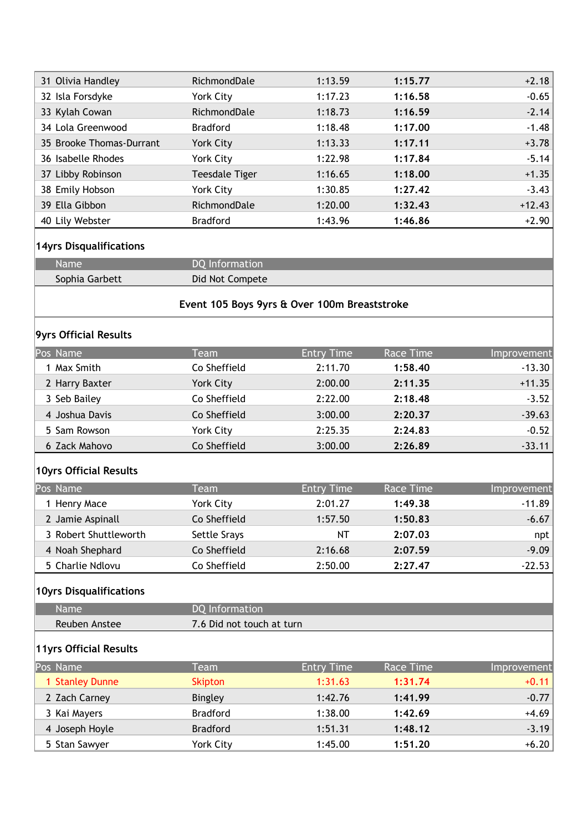| 31 Olivia Handley        | RichmondDale     | 1:13.59 | 1:15.77 | $+2.18$  |
|--------------------------|------------------|---------|---------|----------|
| 32 Isla Forsdyke         | York City        | 1:17.23 | 1:16.58 | $-0.65$  |
| 33 Kylah Cowan           | RichmondDale     | 1:18.73 | 1:16.59 | $-2.14$  |
| 34 Lola Greenwood        | <b>Bradford</b>  | 1:18.48 | 1:17.00 | $-1.48$  |
| 35 Brooke Thomas-Durrant | York City        | 1:13.33 | 1:17.11 | $+3.78$  |
| 36 Isabelle Rhodes       | York City        | 1:22.98 | 1:17.84 | $-5.14$  |
| 37 Libby Robinson        | Teesdale Tiger   | 1:16.65 | 1:18.00 | $+1.35$  |
| 38 Emily Hobson          | <b>York City</b> | 1:30.85 | 1:27.42 | $-3.43$  |
| 39 Ella Gibbon           | RichmondDale     | 1:20.00 | 1:32.43 | $+12.43$ |
| 40 Lily Webster          | <b>Bradford</b>  | 1:43.96 | 1:46.86 | $+2.90$  |

| Name           | <b>DO</b> Information |  |
|----------------|-----------------------|--|
| Sophia Garbett | Did Not Compete       |  |

### **Event 105 Boys 9yrs & Over 100m Breaststroke**

### **9yrs Official Results**

| Pos Name       | Team             | <b>Entry Time</b> | Race Time | Improvement |
|----------------|------------------|-------------------|-----------|-------------|
| 1 Max Smith    | Co Sheffield     | 2:11.70           | 1:58.40   | $-13.30$    |
| 2 Harry Baxter | <b>York City</b> | 2:00.00           | 2:11.35   | $+11.35$    |
| 3 Seb Bailey   | Co Sheffield     | 2:22.00           | 2:18.48   | $-3.52$     |
| 4 Joshua Davis | Co Sheffield     | 3:00.00           | 2:20.37   | $-39.63$    |
| 5 Sam Rowson   | York City        | 2:25.35           | 2:24.83   | $-0.52$     |
| 6 Zack Mahovo  | Co Sheffield     | 3:00.00           | 2:26.89   | $-33.11$    |

#### **10yrs Official Results**

| Pos Name              | Team         | <b>Entry Time</b> | Race Time | Improvement |
|-----------------------|--------------|-------------------|-----------|-------------|
| Henry Mace            | York City    | 2:01.27           | 1:49.38   | $-11.89$    |
| 2 Jamie Aspinall      | Co Sheffield | 1:57.50           | 1:50.83   | $-6.67$     |
| 3 Robert Shuttleworth | Settle Srays | ΝT                | 2:07.03   | npt         |
| 4 Noah Shephard       | Co Sheffield | 2:16.68           | 2:07.59   | $-9.09$     |
| 5 Charlie Ndlovu      | Co Sheffield | 2:50.00           | 2:27.47   | $-22.53$    |

## **10yrs Disqualifications**

| <b>Name</b>     | DQ Information            |  |
|-----------------|---------------------------|--|
| : Reuben Anstee | 7.6 Did not touch at turn |  |

| Pos Name        | Team            | <b>Entry Time</b> | Race Time | Improvement |
|-----------------|-----------------|-------------------|-----------|-------------|
| 1 Stanley Dunne | <b>Skipton</b>  | 1:31.63           | 1:31.74   | $+0.11$     |
| 2 Zach Carney   | <b>Bingley</b>  | 1:42.76           | 1:41.99   | $-0.77$     |
| 3 Kai Mayers    | <b>Bradford</b> | 1:38.00           | 1:42.69   | $+4.69$     |
| 4 Joseph Hoyle  | <b>Bradford</b> | 1:51.31           | 1:48.12   | $-3.19$     |
| 5 Stan Sawyer   | York City       | 1:45.00           | 1:51.20   | $+6.20$     |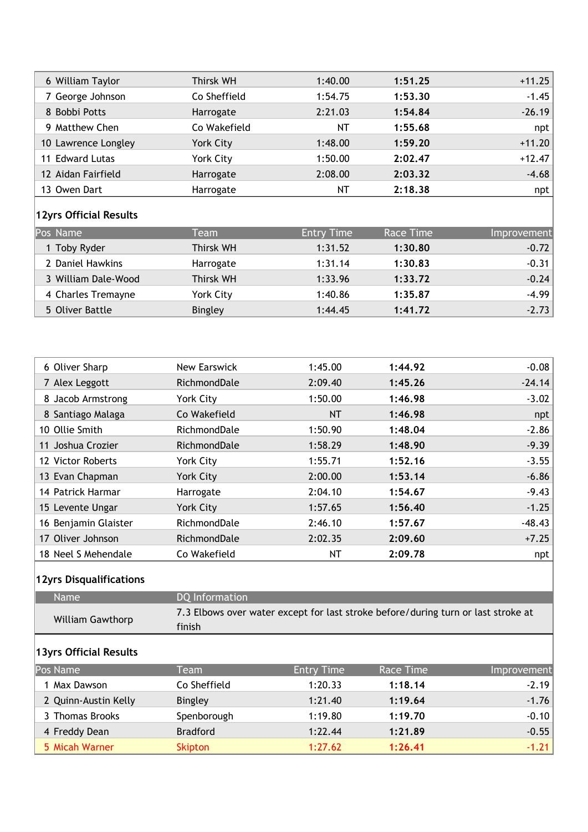| 6 William Taylor    | Thirsk WH    | 1:40.00 | 1:51.25 | $+11.25$ |
|---------------------|--------------|---------|---------|----------|
| 7 George Johnson    | Co Sheffield | 1:54.75 | 1:53.30 | $-1.45$  |
| 8 Bobbi Potts       | Harrogate    | 2:21.03 | 1:54.84 | $-26.19$ |
| 9 Matthew Chen      | Co Wakefield | NΤ      | 1:55.68 | npt      |
| 10 Lawrence Longley | York City    | 1:48.00 | 1:59.20 | $+11.20$ |
| 11 Edward Lutas     | York City    | 1:50.00 | 2:02.47 | $+12.47$ |
| 12 Aidan Fairfield  | Harrogate    | 2:08.00 | 2:03.32 | $-4.68$  |
| 13 Owen Dart        | Harrogate    | ΝT      | 2:18.38 | npt      |

| Pos Name            | Team      | <b>Entry Time</b> | Race Time | Improvement |
|---------------------|-----------|-------------------|-----------|-------------|
| 1 Toby Ryder        | Thirsk WH | 1:31.52           | 1:30.80   | $-0.72$     |
| 2 Daniel Hawkins    | Harrogate | 1:31.14           | 1:30.83   | $-0.31$     |
| 3 William Dale-Wood | Thirsk WH | 1:33.96           | 1:33.72   | $-0.24$     |
| 4 Charles Tremayne  | York City | 1:40.86           | 1:35.87   | $-4.99$     |
| 5 Oliver Battle     | Bingley   | 1:44.45           | 1:41.72   | $-2.73$     |

| 6 Oliver Sharp       | New Earswick | 1:45.00 | 1:44.92 | $-0.08$  |
|----------------------|--------------|---------|---------|----------|
| 7 Alex Leggott       | RichmondDale | 2:09.40 | 1:45.26 | $-24.14$ |
| 8 Jacob Armstrong    | York City    | 1:50.00 | 1:46.98 | $-3.02$  |
| 8 Santiago Malaga    | Co Wakefield | NT      | 1:46.98 | npt      |
| 10 Ollie Smith       | RichmondDale | 1:50.90 | 1:48.04 | $-2.86$  |
| 11 Joshua Crozier    | RichmondDale | 1:58.29 | 1:48.90 | $-9.39$  |
| 12 Victor Roberts    | York City    | 1:55.71 | 1:52.16 | $-3.55$  |
| 13 Evan Chapman      | York City    | 2:00.00 | 1:53.14 | $-6.86$  |
| 14 Patrick Harmar    | Harrogate    | 2:04.10 | 1:54.67 | $-9.43$  |
| 15 Levente Ungar     | York City    | 1:57.65 | 1:56.40 | $-1.25$  |
| 16 Benjamin Glaister | RichmondDale | 2:46.10 | 1:57.67 | $-48.43$ |
| 17 Oliver Johnson    | RichmondDale | 2:02.35 | 2:09.60 | $+7.25$  |
| 18 Neel S Mehendale  | Co Wakefield | NT      | 2:09.78 | npt      |

### **12yrs Disqualifications**

| Name                    | DQ Information                                                                    |
|-------------------------|-----------------------------------------------------------------------------------|
| <b>William Gawthorp</b> | 7.3 Elbows over water except for last stroke before/during turn or last stroke at |
|                         | finish                                                                            |

| Pos Name             | Team            | <b>Entry Time</b> | Race Time | Improvement |
|----------------------|-----------------|-------------------|-----------|-------------|
| Max Dawson           | Co Sheffield    | 1:20.33           | 1:18.14   | $-2.19$     |
| 2 Quinn-Austin Kelly | <b>Bingley</b>  | 1:21.40           | 1:19.64   | $-1.76$     |
| 3 Thomas Brooks      | Spenborough     | 1:19.80           | 1:19.70   | $-0.10$     |
| 4 Freddy Dean        | <b>Bradford</b> | 1:22.44           | 1:21.89   | $-0.55$     |
| 5 Micah Warner       | <b>Skipton</b>  | 1:27.62           | 1:26.41   | $-1.21$     |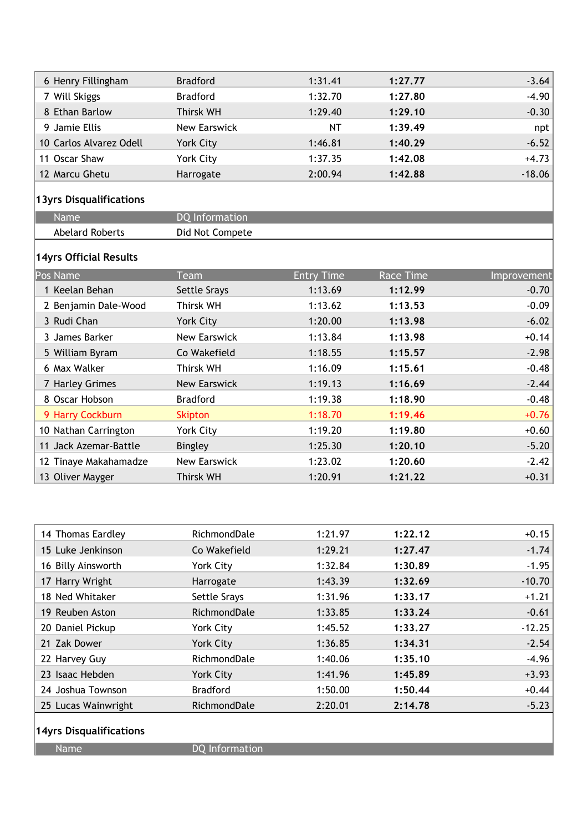| 6 Henry Fillingham            | <b>Bradford</b>     | 1:31.41           | 1:27.77          | $-3.64$     |
|-------------------------------|---------------------|-------------------|------------------|-------------|
| 7 Will Skiggs                 | <b>Bradford</b>     | 1:32.70           | 1:27.80          | $-4.90$     |
| 8 Ethan Barlow                | Thirsk WH           | 1:29.40           | 1:29.10          | $-0.30$     |
| 9 Jamie Ellis                 | <b>New Earswick</b> | <b>NT</b>         | 1:39.49          | npt         |
| 10 Carlos Alvarez Odell       | York City           | 1:46.81           | 1:40.29          | $-6.52$     |
| 11 Oscar Shaw                 | York City           | 1:37.35           | 1:42.08          | $+4.73$     |
| 12 Marcu Ghetu                | Harrogate           | 2:00.94           | 1:42.88          | $-18.06$    |
| 13yrs Disqualifications       |                     |                   |                  |             |
| <b>Name</b>                   | DQ Information      |                   |                  |             |
| <b>Abelard Roberts</b>        | Did Not Compete     |                   |                  |             |
| <b>14yrs Official Results</b> |                     |                   |                  |             |
| Pos Name                      | Team                | <b>Entry Time</b> | <b>Race Time</b> | Improvement |
| 1 Keelan Behan                | Settle Srays        | 1:13.69           | 1:12.99          | $-0.70$     |
| 2 Benjamin Dale-Wood          | <b>Thirsk WH</b>    | 1:13.62           | 1:13.53          | $-0.09$     |
| 3 Rudi Chan                   | York City           | 1:20.00           | 1:13.98          | $-6.02$     |
| 3 James Barker                | <b>New Earswick</b> | 1:13.84           | 1:13.98          | $+0.14$     |
| 5 William Byram               | Co Wakefield        | 1:18.55           | 1:15.57          | $-2.98$     |
| 6 Max Walker                  | <b>Thirsk WH</b>    | 1:16.09           | 1:15.61          | $-0.48$     |
| 7 Harley Grimes               | <b>New Earswick</b> | 1:19.13           | 1:16.69          | $-2.44$     |
| 8 Oscar Hobson                | <b>Bradford</b>     | 1:19.38           | 1:18.90          | $-0.48$     |
| 9 Harry Cockburn              | <b>Skipton</b>      | 1:18.70           | 1:19.46          | $+0.76$     |
| 10 Nathan Carrington          | York City           | 1:19.20           | 1:19.80          | $+0.60$     |
| Jack Azemar-Battle<br>11      | <b>Bingley</b>      | 1:25.30           | 1:20.10          | $-5.20$     |
| 12 Tinaye Makahamadze         | <b>New Earswick</b> | 1:23.02           | 1:20.60          | $-2.42$     |
| 13 Oliver Mayger              | Thirsk WH           | 1:20.91           | 1:21.22          | $+0.31$     |

| 14 Thomas Eardley              | RichmondDale          | 1:21.97 | 1:22.12 | $+0.15$  |
|--------------------------------|-----------------------|---------|---------|----------|
| 15 Luke Jenkinson              | Co Wakefield          | 1:29.21 | 1:27.47 | $-1.74$  |
| 16 Billy Ainsworth             | <b>York City</b>      | 1:32.84 | 1:30.89 | $-1.95$  |
| 17 Harry Wright                | Harrogate             | 1:43.39 | 1:32.69 | $-10.70$ |
| 18 Ned Whitaker                | Settle Srays          | 1:31.96 | 1:33.17 | $+1.21$  |
| 19 Reuben Aston                | RichmondDale          | 1:33.85 | 1:33.24 | $-0.61$  |
| 20 Daniel Pickup               | York City             | 1:45.52 | 1:33.27 | $-12.25$ |
| 21 Zak Dower                   | York City             | 1:36.85 | 1:34.31 | $-2.54$  |
| 22 Harvey Guy                  | RichmondDale          | 1:40.06 | 1:35.10 | $-4.96$  |
| 23 Isaac Hebden                | York City             | 1:41.96 | 1:45.89 | $+3.93$  |
| 24 Joshua Townson              | <b>Bradford</b>       | 1:50.00 | 1:50.44 | $+0.44$  |
| 25 Lucas Wainwright            | RichmondDale          | 2:20.01 | 2:14.78 | $-5.23$  |
| <b>14yrs Disqualifications</b> |                       |         |         |          |
| Name                           | <b>DQ</b> Information |         |         |          |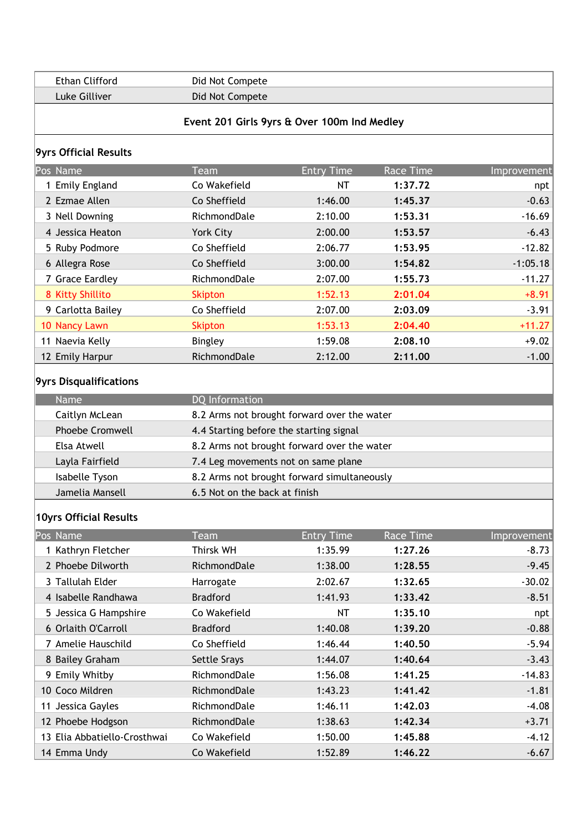| Ethan Clifford | Did Not Compete |
|----------------|-----------------|
| Luke Gilliver  | Did Not Compete |

### **Event 201 Girls 9yrs & Over 100m Ind Medley**

### **9yrs Official Results**

| Pos Name          | Team             | <b>Entry Time</b> | <b>Race Time</b> | Improvement |
|-------------------|------------------|-------------------|------------------|-------------|
| 1 Emily England   | Co Wakefield     | NΤ                | 1:37.72          | npt         |
| 2 Ezmae Allen     | Co Sheffield     | 1:46.00           | 1:45.37          | $-0.63$     |
| 3 Nell Downing    | RichmondDale     | 2:10.00           | 1:53.31          | $-16.69$    |
| 4 Jessica Heaton  | <b>York City</b> | 2:00.00           | 1:53.57          | $-6.43$     |
| 5 Ruby Podmore    | Co Sheffield     | 2:06.77           | 1:53.95          | $-12.82$    |
| 6 Allegra Rose    | Co Sheffield     | 3:00.00           | 1:54.82          | $-1:05.18$  |
| 7 Grace Eardley   | RichmondDale     | 2:07.00           | 1:55.73          | $-11.27$    |
| 8 Kitty Shillito  | <b>Skipton</b>   | 1:52.13           | 2:01.04          | $+8.91$     |
| 9 Carlotta Bailey | Co Sheffield     | 2:07.00           | 2:03.09          | $-3.91$     |
| 10 Nancy Lawn     | <b>Skipton</b>   | 1:53.13           | 2:04.40          | $+11.27$    |
| 11 Naevia Kelly   | <b>Bingley</b>   | 1:59.08           | 2:08.10          | $+9.02$     |
| 12 Emily Harpur   | RichmondDale     | 2:12.00           | 2:11.00          | $-1.00$     |

### **9yrs Disqualifications**

| Name                   | DQ Information                              |
|------------------------|---------------------------------------------|
| Caitlyn McLean         | 8.2 Arms not brought forward over the water |
| <b>Phoebe Cromwell</b> | 4.4 Starting before the starting signal     |
| Elsa Atwell            | 8.2 Arms not brought forward over the water |
| Layla Fairfield        | 7.4 Leg movements not on same plane         |
| Isabelle Tyson         | 8.2 Arms not brought forward simultaneously |
| Jamelia Mansell        | 6.5 Not on the back at finish               |

| Pos Name                     | Team,               | <b>Entry Time</b> | <b>Race Time</b> | Improvement |
|------------------------------|---------------------|-------------------|------------------|-------------|
| 1 Kathryn Fletcher           | Thirsk WH           | 1:35.99           | 1:27.26          | $-8.73$     |
| 2 Phoebe Dilworth            | RichmondDale        | 1:38.00           | 1:28.55          | $-9.45$     |
| 3 Tallulah Elder             | Harrogate           | 2:02.67           | 1:32.65          | $-30.02$    |
| 4 Isabelle Randhawa          | <b>Bradford</b>     | 1:41.93           | 1:33.42          | $-8.51$     |
| 5 Jessica G Hampshire        | Co Wakefield        | ΝT                | 1:35.10          | npt         |
| 6 Orlaith O'Carroll          | <b>Bradford</b>     | 1:40.08           | 1:39.20          | $-0.88$     |
| 7 Amelie Hauschild           | Co Sheffield        | 1:46.44           | 1:40.50          | $-5.94$     |
| 8 Bailey Graham              | <b>Settle Srays</b> | 1:44.07           | 1:40.64          | $-3.43$     |
| 9 Emily Whitby               | RichmondDale        | 1:56.08           | 1:41.25          | $-14.83$    |
| 10 Coco Mildren              | RichmondDale        | 1:43.23           | 1:41.42          | $-1.81$     |
| 11 Jessica Gayles            | RichmondDale        | 1:46.11           | 1:42.03          | $-4.08$     |
| 12 Phoebe Hodgson            | RichmondDale        | 1:38.63           | 1:42.34          | $+3.71$     |
| 13 Elia Abbatiello-Crosthwai | Co Wakefield        | 1:50.00           | 1:45.88          | $-4.12$     |
| 14 Emma Undy                 | Co Wakefield        | 1:52.89           | 1:46.22          | $-6.67$     |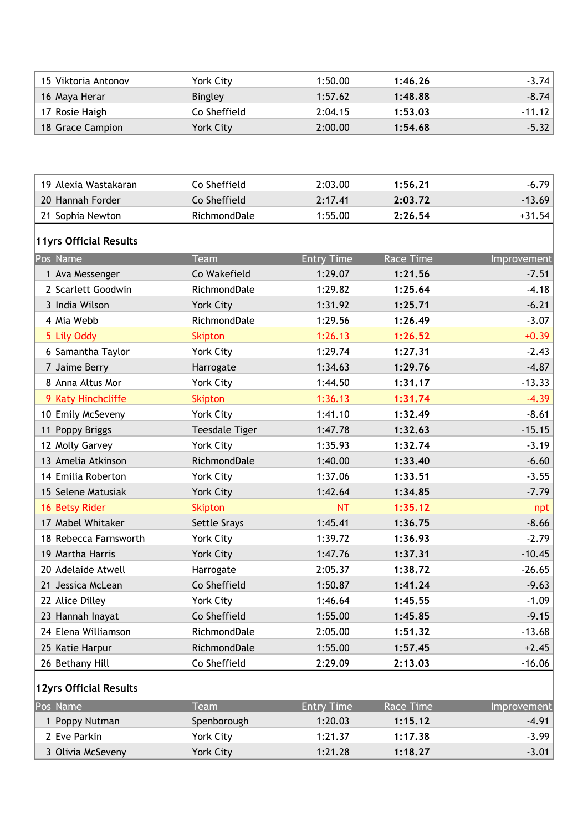| 15 Viktoria Antonov | York City      | 1:50.00 | 1:46.26 | $-3.74$  |
|---------------------|----------------|---------|---------|----------|
| 16 Maya Herar       | <b>Bingley</b> | 1:57.62 | 1:48.88 | $-8.74$  |
| 17 Rosie Haigh      | Co Sheffield   | 2:04.15 | 1:53.03 | $-11.12$ |
| 18 Grace Campion    | York City      | 2:00.00 | 1:54.68 | $-5.32$  |

| - 19 Alexia Wastakaran | Co Sheffield | 2:03.00 | 1:56.21 | -6.79    |
|------------------------|--------------|---------|---------|----------|
| 20 Hannah Forder       | Co Sheffield | 2:17.41 | 2:03.72 | $-13.69$ |
| 21 Sophia Newton       | RichmondDale | 1:55.00 | 2:26.54 | $+31.54$ |
|                        |              |         |         |          |

| Pos Name                      | <b>Team</b>           | <b>Entry Time</b> | <b>Race Time</b> | Improvement |
|-------------------------------|-----------------------|-------------------|------------------|-------------|
| 1 Ava Messenger               | Co Wakefield          | 1:29.07           | 1:21.56          | $-7.51$     |
| 2 Scarlett Goodwin            | RichmondDale          | 1:29.82           | 1:25.64          | $-4.18$     |
| 3 India Wilson                | York City             | 1:31.92           | 1:25.71          | $-6.21$     |
| 4 Mia Webb                    | RichmondDale          | 1:29.56           | 1:26.49          | $-3.07$     |
| 5 Lily Oddy                   | <b>Skipton</b>        | 1:26.13           | 1:26.52          | $+0.39$     |
| 6 Samantha Taylor             | York City             | 1:29.74           | 1:27.31          | $-2.43$     |
| 7 Jaime Berry                 | Harrogate             | 1:34.63           | 1:29.76          | $-4.87$     |
| 8 Anna Altus Mor              | York City             | 1:44.50           | 1:31.17          | $-13.33$    |
| 9 Katy Hinchcliffe            | <b>Skipton</b>        | 1:36.13           | 1:31.74          | $-4.39$     |
| 10 Emily McSeveny             | York City             | 1:41.10           | 1:32.49          | $-8.61$     |
| 11 Poppy Briggs               | <b>Teesdale Tiger</b> | 1:47.78           | 1:32.63          | $-15.15$    |
| 12 Molly Garvey               | York City             | 1:35.93           | 1:32.74          | $-3.19$     |
| 13 Amelia Atkinson            | RichmondDale          | 1:40.00           | 1:33.40          | $-6.60$     |
| 14 Emilia Roberton            | York City             | 1:37.06           | 1:33.51          | $-3.55$     |
| 15 Selene Matusiak            | York City             | 1:42.64           | 1:34.85          | $-7.79$     |
| 16 Betsy Rider                | <b>Skipton</b>        | <b>NT</b>         | 1:35.12          | npt         |
| 17 Mabel Whitaker             | <b>Settle Srays</b>   | 1:45.41           | 1:36.75          | $-8.66$     |
| 18 Rebecca Farnsworth         | York City             | 1:39.72           | 1:36.93          | $-2.79$     |
| 19 Martha Harris              | York City             | 1:47.76           | 1:37.31          | $-10.45$    |
| 20 Adelaide Atwell            | Harrogate             | 2:05.37           | 1:38.72          | $-26.65$    |
| 21 Jessica McLean             | Co Sheffield          | 1:50.87           | 1:41.24          | $-9.63$     |
| 22 Alice Dilley               | York City             | 1:46.64           | 1:45.55          | $-1.09$     |
| 23 Hannah Inayat              | Co Sheffield          | 1:55.00           | 1:45.85          | $-9.15$     |
| 24 Elena Williamson           | RichmondDale          | 2:05.00           | 1:51.32          | $-13.68$    |
| 25 Katie Harpur               | RichmondDale          | 1:55.00           | 1:57.45          | $+2.45$     |
| 26 Bethany Hill               | Co Sheffield          | 2:29.09           | 2:13.03          | $-16.06$    |
| <b>12yrs Official Results</b> |                       |                   |                  |             |

| Pos Name          | Team        | <b>Entry Time</b> | Race Time | Improvement |
|-------------------|-------------|-------------------|-----------|-------------|
| Poppy Nutman      | Spenborough | 1:20.03           | 1:15.12   | $-4.91$     |
| 2 Eve Parkin      | York City   | 1:21.37           | 1:17.38   | $-3.99$     |
| 3 Olivia McSeveny | York City   | 1:21.28           | 1:18.27   | $-3.01$     |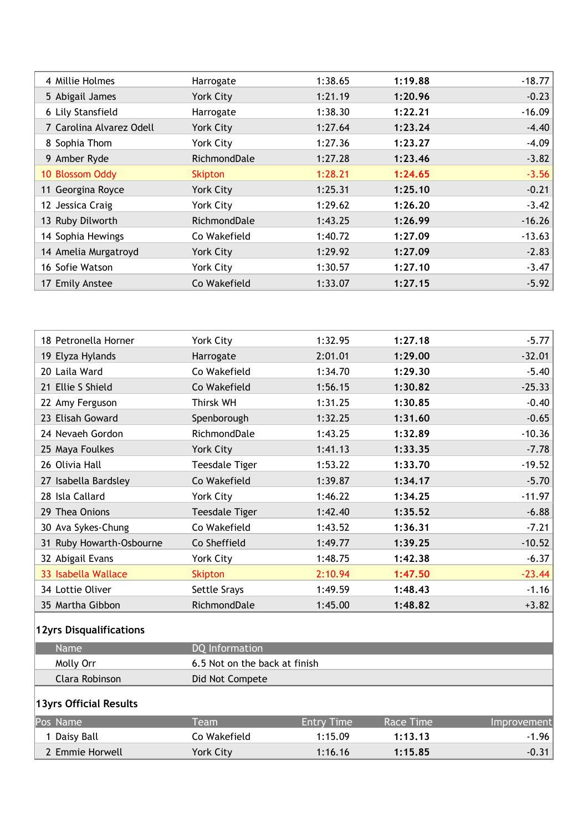| 4 Millie Holmes          | Harrogate      | 1:38.65 | 1:19.88 | $-18.77$ |
|--------------------------|----------------|---------|---------|----------|
| 5 Abigail James          | York City      | 1:21.19 | 1:20.96 | $-0.23$  |
| 6 Lily Stansfield        | Harrogate      | 1:38.30 | 1:22.21 | $-16.09$ |
| 7 Carolina Alvarez Odell | York City      | 1:27.64 | 1:23.24 | $-4.40$  |
| 8 Sophia Thom            | York City      | 1:27.36 | 1:23.27 | $-4.09$  |
| 9 Amber Ryde             | RichmondDale   | 1:27.28 | 1:23.46 | $-3.82$  |
| 10 Blossom Oddy          | <b>Skipton</b> | 1:28.21 | 1:24.65 | $-3.56$  |
| 11 Georgina Royce        | York City      | 1:25.31 | 1:25.10 | $-0.21$  |
| 12 Jessica Craig         | York City      | 1:29.62 | 1:26.20 | $-3.42$  |
| 13 Ruby Dilworth         | RichmondDale   | 1:43.25 | 1:26.99 | $-16.26$ |
| 14 Sophia Hewings        | Co Wakefield   | 1:40.72 | 1:27.09 | $-13.63$ |
| 14 Amelia Murgatroyd     | York City      | 1:29.92 | 1:27.09 | $-2.83$  |
| 16 Sofie Watson          | York City      | 1:30.57 | 1:27.10 | $-3.47$  |
| 17 Emily Anstee          | Co Wakefield   | 1:33.07 | 1:27.15 | $-5.92$  |

| 18 Petronella Horner           | York City                     | 1:32.95 | 1:27.18 | $-5.77$  |
|--------------------------------|-------------------------------|---------|---------|----------|
| 19 Elyza Hylands               | Harrogate                     | 2:01.01 | 1:29.00 | $-32.01$ |
| 20 Laila Ward                  | Co Wakefield                  | 1:34.70 | 1:29.30 | $-5.40$  |
| 21 Ellie S Shield              | Co Wakefield                  | 1:56.15 | 1:30.82 | $-25.33$ |
| 22 Amy Ferguson                | <b>Thirsk WH</b>              | 1:31.25 | 1:30.85 | $-0.40$  |
| 23 Elisah Goward               | Spenborough                   | 1:32.25 | 1:31.60 | $-0.65$  |
| 24 Nevaeh Gordon               | RichmondDale                  | 1:43.25 | 1:32.89 | $-10.36$ |
| 25 Maya Foulkes                | York City                     | 1:41.13 | 1:33.35 | $-7.78$  |
| 26 Olivia Hall                 | <b>Teesdale Tiger</b>         | 1:53.22 | 1:33.70 | $-19.52$ |
| 27 Isabella Bardsley           | Co Wakefield                  | 1:39.87 | 1:34.17 | $-5.70$  |
| 28 Isla Callard                | York City                     | 1:46.22 | 1:34.25 | $-11.97$ |
| 29 Thea Onions                 | <b>Teesdale Tiger</b>         | 1:42.40 | 1:35.52 | $-6.88$  |
| 30 Ava Sykes-Chung             | Co Wakefield                  | 1:43.52 | 1:36.31 | $-7.21$  |
| 31 Ruby Howarth-Osbourne       | Co Sheffield                  | 1:49.77 | 1:39.25 | $-10.52$ |
| 32 Abigail Evans               | York City                     | 1:48.75 | 1:42.38 | $-6.37$  |
| 33 Isabella Wallace            | <b>Skipton</b>                | 2:10.94 | 1:47.50 | $-23.44$ |
| 34 Lottie Oliver               | Settle Srays                  | 1:49.59 | 1:48.43 | $-1.16$  |
| 35 Martha Gibbon               | RichmondDale                  | 1:45.00 | 1:48.82 | $+3.82$  |
| <b>12yrs Disqualifications</b> |                               |         |         |          |
| <b>Name</b>                    | DQ Information                |         |         |          |
| Molly Orr                      | 6.5 Not on the back at finish |         |         |          |
| Clara Robinson                 | Did Not Compete               |         |         |          |

| Pos Name        | <b>Team</b>  | <b>Entry Time</b> | Race Time | Improvement |
|-----------------|--------------|-------------------|-----------|-------------|
| 1 Daisy Ball    | Co Wakefield | 1:15.09           | 1:13.13   | -1.96       |
| 2 Emmie Horwell | York City    | 1:16.16           | 1:15.85   | $-0.31$     |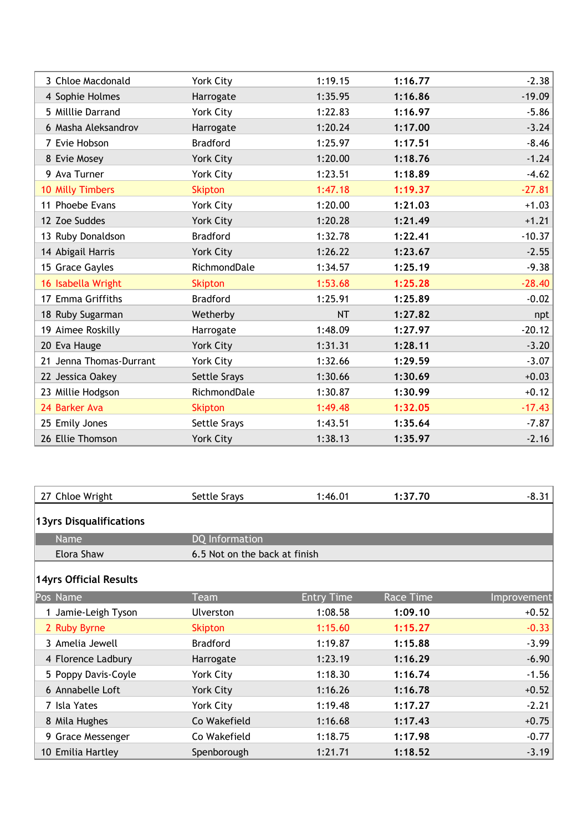| 3 Chloe Macdonald       | York City           | 1:19.15   | 1:16.77 | $-2.38$  |
|-------------------------|---------------------|-----------|---------|----------|
| 4 Sophie Holmes         | Harrogate           | 1:35.95   | 1:16.86 | $-19.09$ |
| 5 Milllie Darrand       | York City           | 1:22.83   | 1:16.97 | $-5.86$  |
| 6 Masha Aleksandrov     | Harrogate           | 1:20.24   | 1:17.00 | $-3.24$  |
| 7 Evie Hobson           | <b>Bradford</b>     | 1:25.97   | 1:17.51 | $-8.46$  |
| 8 Evie Mosey            | York City           | 1:20.00   | 1:18.76 | $-1.24$  |
| 9 Ava Turner            | York City           | 1:23.51   | 1:18.89 | $-4.62$  |
| 10 Milly Timbers        | <b>Skipton</b>      | 1:47.18   | 1:19.37 | $-27.81$ |
| 11 Phoebe Evans         | York City           | 1:20.00   | 1:21.03 | $+1.03$  |
| 12 Zoe Suddes           | York City           | 1:20.28   | 1:21.49 | $+1.21$  |
| 13 Ruby Donaldson       | <b>Bradford</b>     | 1:32.78   | 1:22.41 | $-10.37$ |
| 14 Abigail Harris       | York City           | 1:26.22   | 1:23.67 | $-2.55$  |
| 15 Grace Gayles         | RichmondDale        | 1:34.57   | 1:25.19 | $-9.38$  |
| 16 Isabella Wright      | <b>Skipton</b>      | 1:53.68   | 1:25.28 | $-28.40$ |
| 17 Emma Griffiths       | <b>Bradford</b>     | 1:25.91   | 1:25.89 | $-0.02$  |
| 18 Ruby Sugarman        | Wetherby            | <b>NT</b> | 1:27.82 | npt      |
| 19 Aimee Roskilly       | Harrogate           | 1:48.09   | 1:27.97 | $-20.12$ |
| 20 Eva Hauge            | York City           | 1:31.31   | 1:28.11 | $-3.20$  |
| 21 Jenna Thomas-Durrant | York City           | 1:32.66   | 1:29.59 | $-3.07$  |
| 22 Jessica Oakey        | <b>Settle Srays</b> | 1:30.66   | 1:30.69 | $+0.03$  |
| 23 Millie Hodgson       | RichmondDale        | 1:30.87   | 1:30.99 | $+0.12$  |
| 24 Barker Ava           | <b>Skipton</b>      | 1:49.48   | 1:32.05 | $-17.43$ |
| 25 Emily Jones          | Settle Srays        | 1:43.51   | 1:35.64 | $-7.87$  |
| 26 Ellie Thomson        | York City           | 1:38.13   | 1:35.97 | $-2.16$  |
|                         |                     |           |         |          |
|                         |                     |           |         |          |
|                         |                     |           |         |          |
| 27 Chloe Wright         | Settle Srays        | 1:46.01   | 1:37.70 | $-8.31$  |

| <b>Name</b>            | DQ Information                |                   |                  |             |
|------------------------|-------------------------------|-------------------|------------------|-------------|
| Elora Shaw             | 6.5 Not on the back at finish |                   |                  |             |
|                        |                               |                   |                  |             |
| 14yrs Official Results |                               |                   |                  |             |
| Pos Name               | Team                          | <b>Entry Time</b> | <b>Race Time</b> | Improvement |
| 1 Jamie-Leigh Tyson    | Ulverston                     | 1:08.58           | 1:09.10          | $+0.52$     |
| 2 Ruby Byrne           | <b>Skipton</b>                | 1:15.60           | 1:15.27          | $-0.33$     |
| 3 Amelia Jewell        | <b>Bradford</b>               | 1:19.87           | 1:15.88          | $-3.99$     |
| 4 Florence Ladbury     | Harrogate                     | 1:23.19           | 1:16.29          | $-6.90$     |
| 5 Poppy Davis-Coyle    | York City                     | 1:18.30           | 1:16.74          | $-1.56$     |
| 6 Annabelle Loft       | York City                     | 1:16.26           | 1:16.78          | $+0.52$     |
| 7 Isla Yates           | York City                     | 1:19.48           | 1:17.27          | $-2.21$     |
| 8 Mila Hughes          | Co Wakefield                  | 1:16.68           | 1:17.43          | $+0.75$     |
| 9 Grace Messenger      | Co Wakefield                  | 1:18.75           | 1:17.98          | $-0.77$     |
| 10 Emilia Hartley      | Spenborough                   | 1:21.71           | 1:18.52          | $-3.19$     |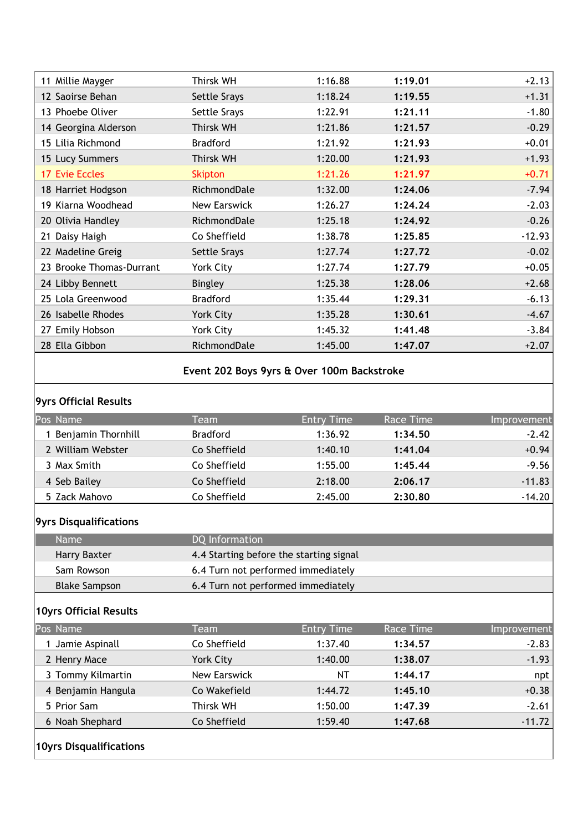| 11 Millie Mayger         | Thirsk WH       | 1:16.88 | 1:19.01 | $+2.13$  |
|--------------------------|-----------------|---------|---------|----------|
| 12 Saoirse Behan         | Settle Srays    | 1:18.24 | 1:19.55 | $+1.31$  |
| 13 Phoebe Oliver         | Settle Srays    | 1:22.91 | 1:21.11 | $-1.80$  |
| 14 Georgina Alderson     | Thirsk WH       | 1:21.86 | 1:21.57 | $-0.29$  |
| 15 Lilia Richmond        | <b>Bradford</b> | 1:21.92 | 1:21.93 | $+0.01$  |
| 15 Lucy Summers          | Thirsk WH       | 1:20.00 | 1:21.93 | $+1.93$  |
| 17 Evie Eccles           | <b>Skipton</b>  | 1:21.26 | 1:21.97 | $+0.71$  |
| 18 Harriet Hodgson       | RichmondDale    | 1:32.00 | 1:24.06 | $-7.94$  |
| 19 Kiarna Woodhead       | New Earswick    | 1:26.27 | 1:24.24 | $-2.03$  |
| 20 Olivia Handley        | RichmondDale    | 1:25.18 | 1:24.92 | $-0.26$  |
| 21 Daisy Haigh           | Co Sheffield    | 1:38.78 | 1:25.85 | $-12.93$ |
| 22 Madeline Greig        | Settle Srays    | 1:27.74 | 1:27.72 | $-0.02$  |
| 23 Brooke Thomas-Durrant | York City       | 1:27.74 | 1:27.79 | $+0.05$  |
| 24 Libby Bennett         | <b>Bingley</b>  | 1:25.38 | 1:28.06 | $+2.68$  |
| 25 Lola Greenwood        | <b>Bradford</b> | 1:35.44 | 1:29.31 | $-6.13$  |
| 26 Isabelle Rhodes       | York City       | 1:35.28 | 1:30.61 | $-4.67$  |
| 27 Emily Hobson          | York City       | 1:45.32 | 1:41.48 | $-3.84$  |
| 28 Ella Gibbon           | RichmondDale    | 1:45.00 | 1:47.07 | $+2.07$  |

#### **Event 202 Boys 9yrs & Over 100m Backstroke**

## **9yrs Official Results**

| Pos Name             | Team         | <b>Entry Time</b> | Race Time | Improvement |
|----------------------|--------------|-------------------|-----------|-------------|
| 1 Benjamin Thornhill | Bradford     | 1:36.92           | 1:34.50   | $-2.42$     |
| 2 William Webster    | Co Sheffield | 1:40.10           | 1:41.04   | $+0.94$     |
| 3 Max Smith          | Co Sheffield | 1:55.00           | 1:45.44   | $-9.56$     |
| 4 Seb Bailey         | Co Sheffield | 2:18.00           | 2:06.17   | $-11.83$    |
| 5 Zack Mahovo        | Co Sheffield | 2:45.00           | 2:30.80   | $-14.20$    |

### **9yrs Disqualifications**

| Name                 | DQ Information                          |
|----------------------|-----------------------------------------|
| Harry Baxter         | 4.4 Starting before the starting signal |
| Sam Rowson           | 6.4 Turn not performed immediately      |
| <b>Blake Sampson</b> | 6.4 Turn not performed immediately      |

| Pos Name                | Team             | <b>Entry Time</b> | <b>Race Time</b> | Improvement |
|-------------------------|------------------|-------------------|------------------|-------------|
| 1 Jamie Aspinall        | Co Sheffield     | 1:37.40           | 1:34.57          | $-2.83$     |
| 2 Henry Mace            | <b>York City</b> | 1:40.00           | 1:38.07          | $-1.93$     |
| 3 Tommy Kilmartin       | New Earswick     | ΝT                | 1:44.17          | npt         |
| 4 Benjamin Hangula      | Co Wakefield     | 1:44.72           | 1:45.10          | $+0.38$     |
| 5 Prior Sam             | Thirsk WH        | 1:50.00           | 1:47.39          | $-2.61$     |
| 6 Noah Shephard         | Co Sheffield     | 1:59.40           | 1:47.68          | $-11.72$    |
| 10yrs Disqualifications |                  |                   |                  |             |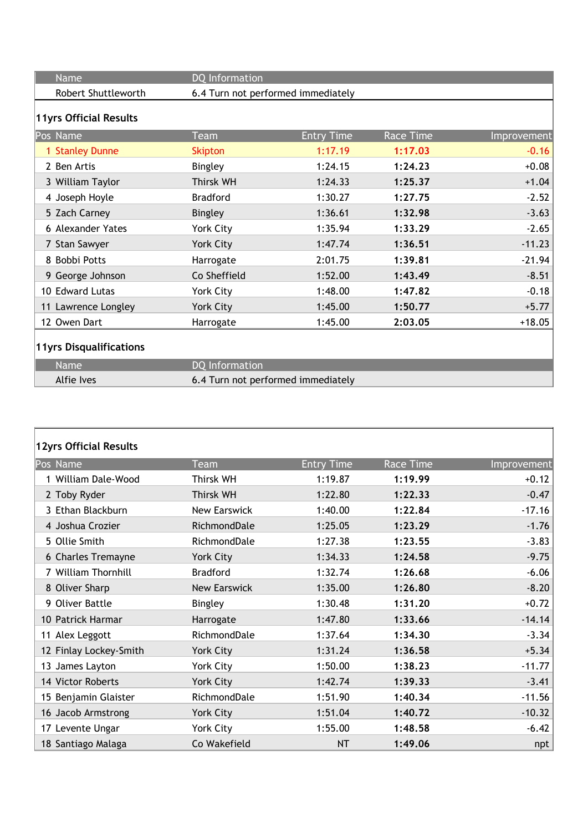| <b>Name</b>                    | DQ Information                     |                                    |                  |             |  |
|--------------------------------|------------------------------------|------------------------------------|------------------|-------------|--|
| Robert Shuttleworth            | 6.4 Turn not performed immediately |                                    |                  |             |  |
|                                |                                    |                                    |                  |             |  |
| <b>11yrs Official Results</b>  |                                    |                                    |                  |             |  |
| Pos Name                       | <b>Team</b>                        | <b>Entry Time</b>                  | <b>Race Time</b> | Improvement |  |
| 1 Stanley Dunne                | <b>Skipton</b>                     | 1:17.19                            | 1:17.03          | $-0.16$     |  |
| 2 Ben Artis                    | <b>Bingley</b>                     | 1:24.15                            | 1:24.23          | $+0.08$     |  |
| 3 William Taylor               | Thirsk WH                          | 1:24.33                            | 1:25.37          | $+1.04$     |  |
| 4 Joseph Hoyle                 | <b>Bradford</b>                    | 1:30.27                            | 1:27.75          | $-2.52$     |  |
| 5 Zach Carney                  | <b>Bingley</b>                     | 1:36.61                            | 1:32.98          | $-3.63$     |  |
| 6 Alexander Yates              | York City                          | 1:35.94                            | 1:33.29          | $-2.65$     |  |
| 7 Stan Sawyer                  | York City                          | 1:47.74                            | 1:36.51          | $-11.23$    |  |
| 8 Bobbi Potts                  | Harrogate                          | 2:01.75                            | 1:39.81          | $-21.94$    |  |
| 9 George Johnson               | Co Sheffield                       | 1:52.00                            | 1:43.49          | $-8.51$     |  |
| 10 Edward Lutas                | York City                          | 1:48.00                            | 1:47.82          | $-0.18$     |  |
| 11 Lawrence Longley            | York City                          | 1:45.00                            | 1:50.77          | $+5.77$     |  |
| 12 Owen Dart                   | Harrogate                          | 1:45.00                            | 2:03.05          | $+18.05$    |  |
| <b>11yrs Disqualifications</b> |                                    |                                    |                  |             |  |
|                                |                                    |                                    |                  |             |  |
| <b>Name</b>                    | DQ Information                     |                                    |                  |             |  |
| Alfie Ives                     |                                    | 6.4 Turn not performed immediately |                  |             |  |

| <b>12yrs Official Results</b> |                     |                   |                  |             |
|-------------------------------|---------------------|-------------------|------------------|-------------|
| Pos Name                      | <b>Team</b>         | <b>Entry Time</b> | <b>Race Time</b> | Improvement |
| 1 William Dale-Wood           | <b>Thirsk WH</b>    | 1:19.87           | 1:19.99          | $+0.12$     |
| 2 Toby Ryder                  | Thirsk WH           | 1:22.80           | 1:22.33          | $-0.47$     |
| 3 Ethan Blackburn             | <b>New Earswick</b> | 1:40.00           | 1:22.84          | $-17.16$    |
| 4 Joshua Crozier              | RichmondDale        | 1:25.05           | 1:23.29          | $-1.76$     |
| 5 Ollie Smith                 | RichmondDale        | 1:27.38           | 1:23.55          | $-3.83$     |
| 6 Charles Tremayne            | York City           | 1:34.33           | 1:24.58          | $-9.75$     |
| 7 William Thornhill           | <b>Bradford</b>     | 1:32.74           | 1:26.68          | $-6.06$     |
| 8 Oliver Sharp                | <b>New Earswick</b> | 1:35.00           | 1:26.80          | $-8.20$     |
| 9 Oliver Battle               | <b>Bingley</b>      | 1:30.48           | 1:31.20          | $+0.72$     |
| 10 Patrick Harmar             | Harrogate           | 1:47.80           | 1:33.66          | $-14.14$    |
| 11 Alex Leggott               | RichmondDale        | 1:37.64           | 1:34.30          | $-3.34$     |
| 12 Finlay Lockey-Smith        | York City           | 1:31.24           | 1:36.58          | $+5.34$     |
| 13 James Layton               | York City           | 1:50.00           | 1:38.23          | $-11.77$    |
| 14 Victor Roberts             | York City           | 1:42.74           | 1:39.33          | $-3.41$     |
| 15 Benjamin Glaister          | RichmondDale        | 1:51.90           | 1:40.34          | $-11.56$    |
| 16 Jacob Armstrong            | York City           | 1:51.04           | 1:40.72          | $-10.32$    |
| 17 Levente Ungar              | York City           | 1:55.00           | 1:48.58          | $-6.42$     |
| 18 Santiago Malaga            | Co Wakefield        | <b>NT</b>         | 1:49.06          | npt         |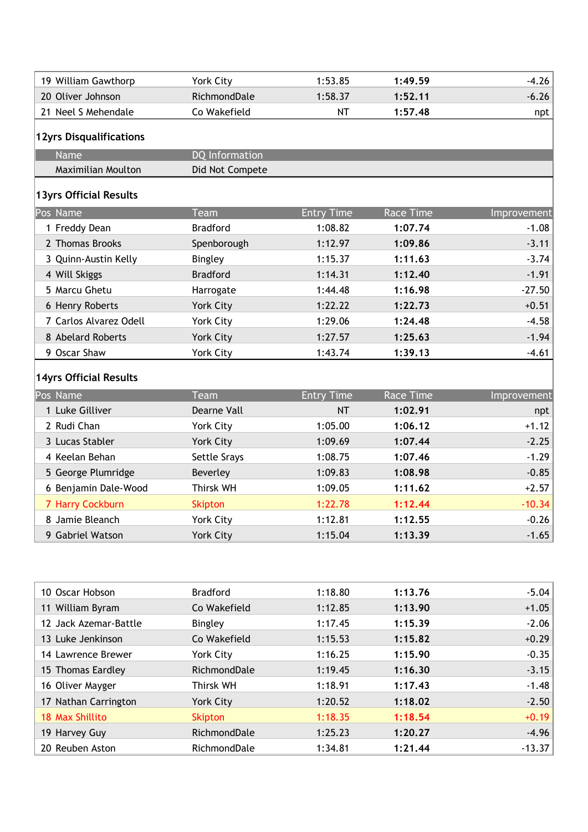| 19 William Gawthorp            | York City          | 1:53.85           | 1:49.59          | $-4.26$            |
|--------------------------------|--------------------|-------------------|------------------|--------------------|
| 20 Oliver Johnson              | RichmondDale       | 1:58.37           | 1:52.11          | $-6.26$            |
| 21 Neel S Mehendale            | Co Wakefield       | <b>NT</b>         | 1:57.48          | npt                |
| <b>12yrs Disqualifications</b> |                    |                   |                  |                    |
| Name                           | DQ Information     |                   |                  |                    |
| <b>Maximilian Moulton</b>      | Did Not Compete    |                   |                  |                    |
| <b>13yrs Official Results</b>  |                    |                   |                  |                    |
| Pos Name                       | <b>Team</b>        | <b>Entry Time</b> | <b>Race Time</b> | <b>Improvement</b> |
| 1 Freddy Dean                  | <b>Bradford</b>    | 1:08.82           | 1:07.74          | $-1.08$            |
| 2 Thomas Brooks                | Spenborough        | 1:12.97           | 1:09.86          | $-3.11$            |
| 3 Quinn-Austin Kelly           | Bingley            | 1:15.37           | 1:11.63          | $-3.74$            |
| 4 Will Skiggs                  | <b>Bradford</b>    | 1:14.31           | 1:12.40          | $-1.91$            |
| 5 Marcu Ghetu                  | Harrogate          | 1:44.48           | 1:16.98          | $-27.50$           |
| 6 Henry Roberts                | York City          | 1:22.22           | 1:22.73          | $+0.51$            |
| 7 Carlos Alvarez Odell         | York City          | 1:29.06           | 1:24.48          | $-4.58$            |
| 8 Abelard Roberts              | York City          | 1:27.57           | 1:25.63          | $-1.94$            |
| 9 Oscar Shaw                   | York City          | 1:43.74           | 1:39.13          | $-4.61$            |
| <b>14yrs Official Results</b>  |                    |                   |                  |                    |
| Pos Name                       | Team               | <b>Entry Time</b> | <b>Race Time</b> | Improvement        |
| 1 Luke Gilliver                | <b>Dearne Vall</b> | <b>NT</b>         | 1:02.91          | npt                |
| 2 Rudi Chan                    | York City          | 1:05.00           | 1:06.12          | $+1.12$            |
| 3 Lucas Stabler                | York City          | 1:09.69           | 1:07.44          | $-2.25$            |
| 4 Keelan Behan                 | Settle Srays       | 1:08.75           | 1:07.46          | $-1.29$            |
| 5 George Plumridge             | Beverley           | 1:09.83           | 1:08.98          | $-0.85$            |
| 6 Benjamin Dale-Wood           | <b>Thirsk WH</b>   | 1:09.05           | 1:11.62          | $+2.57$            |
| 7 Harry Cockburn               | <b>Skipton</b>     | 1:22.78           | 1:12.44          | $-10.34$           |
| 8 Jamie Bleanch                | York City          | 1:12.81           | 1:12.55          | $-0.26$            |
| 9 Gabriel Watson               | York City          | 1:15.04           | 1:13.39          | $-1.65$            |
|                                |                    |                   |                  |                    |

| 10 Oscar Hobson       | <b>Bradford</b>  | 1:18.80 | 1:13.76 | $-5.04$  |
|-----------------------|------------------|---------|---------|----------|
| 11 William Byram      | Co Wakefield     | 1:12.85 | 1:13.90 | $+1.05$  |
| 12 Jack Azemar-Battle | <b>Bingley</b>   | 1:17.45 | 1:15.39 | $-2.06$  |
| 13 Luke Jenkinson     | Co Wakefield     | 1:15.53 | 1:15.82 | $+0.29$  |
| 14 Lawrence Brewer    | York City        | 1:16.25 | 1:15.90 | $-0.35$  |
| 15 Thomas Eardley     | RichmondDale     | 1:19.45 | 1:16.30 | $-3.15$  |
| 16 Oliver Mayger      | Thirsk WH        | 1:18.91 | 1:17.43 | $-1.48$  |
| 17 Nathan Carrington  | <b>York City</b> | 1:20.52 | 1:18.02 | $-2.50$  |
| 18 Max Shillito       | <b>Skipton</b>   | 1:18.35 | 1:18.54 | $+0.19$  |
| 19 Harvey Guy         | RichmondDale     | 1:25.23 | 1:20.27 | $-4.96$  |
| 20 Reuben Aston       | RichmondDale     | 1:34.81 | 1:21.44 | $-13.37$ |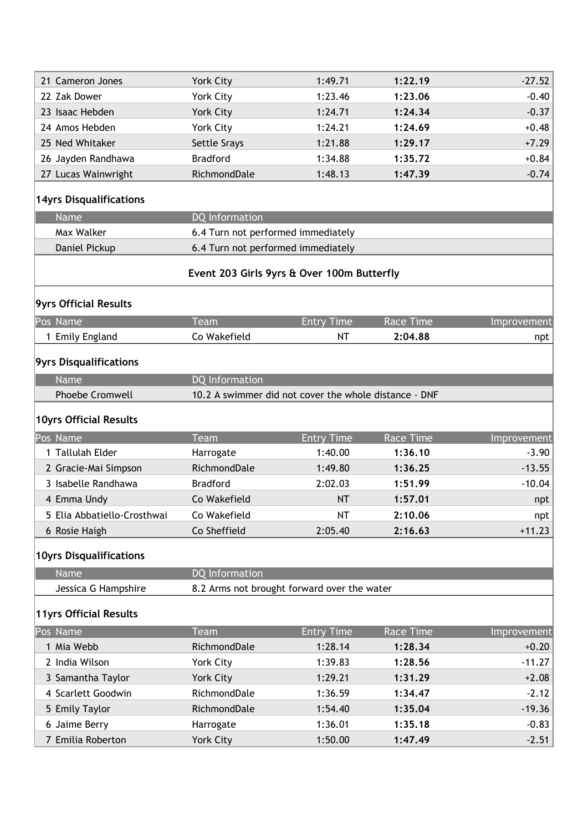| 21 Cameron Jones               | York City                                  | 1:49.71                                               | 1:22.19          | $-27.52$    |
|--------------------------------|--------------------------------------------|-------------------------------------------------------|------------------|-------------|
| 22 Zak Dower                   | York City                                  | 1:23.46                                               | 1:23.06          | $-0.40$     |
| 23 Isaac Hebden                | York City                                  | 1:24.71                                               | 1:24.34          | $-0.37$     |
| 24 Amos Hebden                 | York City                                  | 1:24.21                                               | 1:24.69          | $+0.48$     |
| 25 Ned Whitaker                | <b>Settle Srays</b>                        | 1:21.88                                               | 1:29.17          | $+7.29$     |
| 26 Jayden Randhawa             | <b>Bradford</b>                            | 1:34.88                                               | 1:35.72          | $+0.84$     |
| 27 Lucas Wainwright            | RichmondDale                               | 1:48.13                                               | 1:47.39          | $-0.74$     |
| <b>14yrs Disqualifications</b> |                                            |                                                       |                  |             |
| <b>Name</b>                    | DQ Information                             |                                                       |                  |             |
| Max Walker                     | 6.4 Turn not performed immediately         |                                                       |                  |             |
| Daniel Pickup                  | 6.4 Turn not performed immediately         |                                                       |                  |             |
|                                | Event 203 Girls 9yrs & Over 100m Butterfly |                                                       |                  |             |
| <b>9yrs Official Results</b>   |                                            |                                                       |                  |             |
| Pos Name                       | <b>Team</b>                                | <b>Entry Time</b>                                     | <b>Race Time</b> | Improvement |
| 1 Emily England                | Co Wakefield                               | <b>NT</b>                                             | 2:04.88          | npt         |
| <b>9yrs Disqualifications</b>  |                                            |                                                       |                  |             |
| <b>Name</b>                    | DQ Information                             |                                                       |                  |             |
| <b>Phoebe Cromwell</b>         |                                            | 10.2 A swimmer did not cover the whole distance - DNF |                  |             |
| <b>10yrs Official Results</b>  |                                            |                                                       |                  |             |
| Pos Name                       | Team                                       | <b>Entry Time</b>                                     | <b>Race Time</b> | Improvement |
| 1 Tallulah Elder               | Harrogate                                  | 1:40.00                                               | 1:36.10          | $-3.90$     |
| 2 Gracie-Mai Simpson           | RichmondDale                               | 1:49.80                                               | 1:36.25          | $-13.55$    |
| 3 Isabelle Randhawa            | <b>Bradford</b>                            | 2:02.03                                               | 1:51.99          | $-10.04$    |
| 4 Emma Undy                    | Co Wakefield                               | <b>NT</b>                                             | 1:57.01          | npt         |
| 5 Elia Abbatiello-Crosthwai    | Co Wakefield                               | NT.                                                   | 2:10.06          | npt         |
| 6 Rosie Haigh                  | Co Sheffield                               | 2:05.40                                               | 2:16.63          | $+11.23$    |
| <b>10yrs Disqualifications</b> |                                            |                                                       |                  |             |
| Name                           | DQ Information                             |                                                       |                  |             |
| Jessica G Hampshire            |                                            | 8.2 Arms not brought forward over the water           |                  |             |
| <b>11yrs Official Results</b>  |                                            |                                                       |                  |             |
| Pos Name                       | Team                                       | <b>Entry Time</b>                                     | <b>Race Time</b> | Improvement |
| 1 Mia Webb                     | RichmondDale                               | 1:28.14                                               | 1:28.34          | $+0.20$     |
| 2 India Wilson                 | York City                                  | 1:39.83                                               | 1:28.56          | $-11.27$    |
| 3 Samantha Taylor              | York City                                  | 1:29.21                                               | 1:31.29          | $+2.08$     |
| 4 Scarlett Goodwin             | RichmondDale                               | 1:36.59                                               | 1:34.47          | $-2.12$     |
| 5 Emily Taylor                 | RichmondDale                               | 1:54.40                                               | 1:35.04          | $-19.36$    |
| 6 Jaime Berry                  | Harrogate                                  | 1:36.01                                               | 1:35.18          | $-0.83$     |
| 7 Emilia Roberton              | York City                                  | 1:50.00                                               | 1:47.49          | $-2.51$     |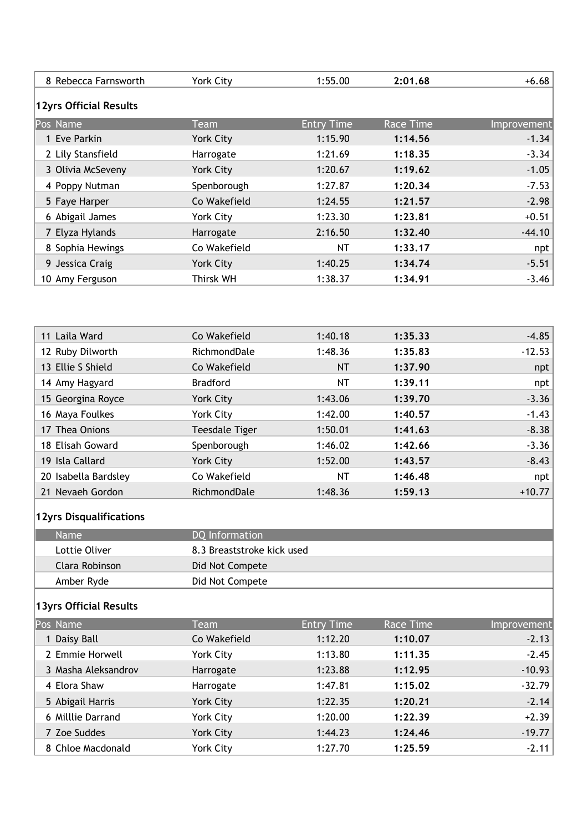| 8 Rebecca Farnsworth          | York City             | 1:55.00           | 2:01.68          | $+6.68$     |
|-------------------------------|-----------------------|-------------------|------------------|-------------|
| <b>12yrs Official Results</b> |                       |                   |                  |             |
| Pos Name                      | <b>Team</b>           | <b>Entry Time</b> | <b>Race Time</b> | Improvement |
| 1 Eve Parkin                  | York City             | 1:15.90           | 1:14.56          | $-1.34$     |
| 2 Lily Stansfield             | Harrogate             | 1:21.69           | 1:18.35          | $-3.34$     |
| 3 Olivia McSeveny             | <b>York City</b>      | 1:20.67           | 1:19.62          | $-1.05$     |
| 4 Poppy Nutman                | Spenborough           | 1:27.87           | 1:20.34          | $-7.53$     |
| 5 Faye Harper                 | Co Wakefield          | 1:24.55           | 1:21.57          | $-2.98$     |
| 6 Abigail James               | York City             | 1:23.30           | 1:23.81          | $+0.51$     |
| 7 Elyza Hylands               | Harrogate             | 2:16.50           | 1:32.40          | $-44.10$    |
| 8 Sophia Hewings              | Co Wakefield          | <b>NT</b>         | 1:33.17          | npt         |
| 9 Jessica Craig               | York City             | 1:40.25           | 1:34.74          | $-5.51$     |
| 10 Amy Ferguson               | Thirsk WH             | 1:38.37           | 1:34.91          | $-3.46$     |
|                               |                       |                   |                  |             |
|                               |                       |                   |                  |             |
| 11 Laila Ward                 | Co Wakefield          | 1:40.18           | 1:35.33          | $-4.85$     |
| 12 Ruby Dilworth              | RichmondDale          | 1:48.36           | 1:35.83          | $-12.53$    |
| 13 Ellie S Shield             | Co Wakefield          | <b>NT</b>         | 1:37.90          | npt         |
| 14 Amy Hagyard                | <b>Bradford</b>       | <b>NT</b>         | 1:39.11          | npt         |
| 15 Georgina Royce             | York City             | 1:43.06           | 1:39.70          | $-3.36$     |
| 16 Maya Foulkes               | York City             | 1:42.00           | 1:40.57          | $-1.43$     |
| 17 Thea Onions                | <b>Teesdale Tiger</b> | 1:50.01           | 1:41.63          | $-8.38$     |
| 18 Elisah Goward              | Spenborough           | 1:46.02           | 1:42.66          | $-3.36$     |
| 19 Isla Callard               | York City             | 1:52.00           | 1:43.57          | $-8.43$     |
| 20 Isabella Bardsley          | Co Wakefield          | <b>NT</b>         | 1:46.48          | npt         |
| 21 Nevaeh Gordon              | RichmondDale          | 1:48.36           | 1:59.13          | $+10.77$    |
|                               |                       |                   |                  |             |

| <b>Name</b>    | DQ Information             |
|----------------|----------------------------|
| Lottie Oliver  | 8.3 Breaststroke kick used |
| Clara Robinson | Did Not Compete            |
| Amber Ryde     | Did Not Compete            |

| Pos Name            | Team         | <b>Entry Time</b> | Race Time | Improvement |
|---------------------|--------------|-------------------|-----------|-------------|
| 1 Daisy Ball        | Co Wakefield | 1:12.20           | 1:10.07   | $-2.13$     |
| 2 Emmie Horwell     | York City    | 1:13.80           | 1:11.35   | $-2.45$     |
| 3 Masha Aleksandrov | Harrogate    | 1:23.88           | 1:12.95   | $-10.93$    |
| 4 Elora Shaw        | Harrogate    | 1:47.81           | 1:15.02   | $-32.79$    |
| 5 Abigail Harris    | York City    | 1:22.35           | 1:20.21   | $-2.14$     |
| 6 Millie Darrand    | York City    | 1:20.00           | 1:22.39   | $+2.39$     |
| 7 Zoe Suddes        | York City    | 1:44.23           | 1:24.46   | $-19.77$    |
| 8 Chloe Macdonald   | York City    | 1:27.70           | 1:25.59   | $-2.11$     |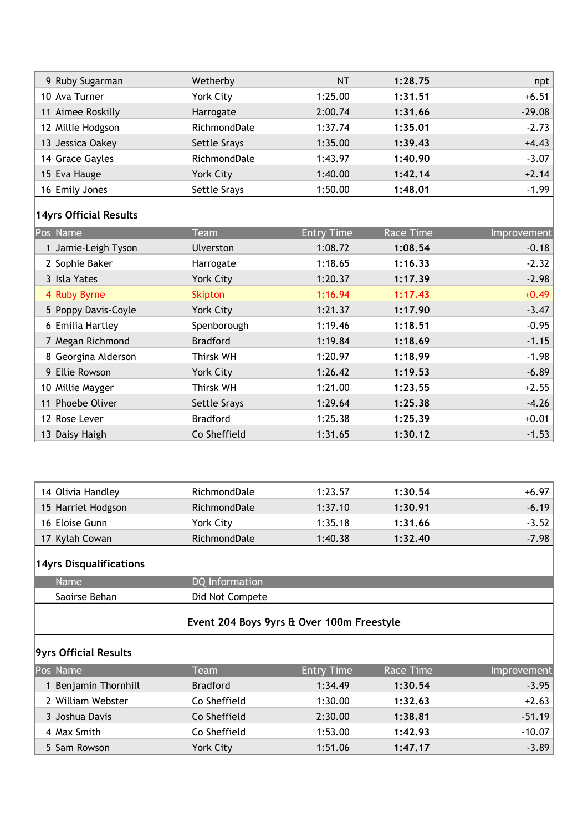| 9 Ruby Sugarman   | Wetherby     | ΝT      | 1:28.75 | npt      |
|-------------------|--------------|---------|---------|----------|
| 10 Ava Turner     | York City    | 1:25.00 | 1:31.51 | $+6.51$  |
| 11 Aimee Roskilly | Harrogate    | 2:00.74 | 1:31.66 | $-29.08$ |
| 12 Millie Hodgson | RichmondDale | 1:37.74 | 1:35.01 | $-2.73$  |
| 13 Jessica Oakey  | Settle Srays | 1:35.00 | 1:39.43 | $+4.43$  |
| 14 Grace Gayles   | RichmondDale | 1:43.97 | 1:40.90 | $-3.07$  |
| 15 Eva Hauge      | York City    | 1:40.00 | 1:42.14 | $+2.14$  |
| 16 Emily Jones    | Settle Srays | 1:50.00 | 1:48.01 | $-1.99$  |

| Pos Name            | Team             | <b>Entry Time</b> | <b>Race Time</b> | Improvement |
|---------------------|------------------|-------------------|------------------|-------------|
| 1 Jamie-Leigh Tyson | <b>Ulverston</b> | 1:08.72           | 1:08.54          | $-0.18$     |
| 2 Sophie Baker      | Harrogate        | 1:18.65           | 1:16.33          | $-2.32$     |
| 3 Isla Yates        | York City        | 1:20.37           | 1:17.39          | $-2.98$     |
| 4 Ruby Byrne        | <b>Skipton</b>   | 1:16.94           | 1:17.43          | $+0.49$     |
| 5 Poppy Davis-Coyle | York City        | 1:21.37           | 1:17.90          | $-3.47$     |
| 6 Emilia Hartley    | Spenborough      | 1:19.46           | 1:18.51          | $-0.95$     |
| 7 Megan Richmond    | <b>Bradford</b>  | 1:19.84           | 1:18.69          | $-1.15$     |
| 8 Georgina Alderson | Thirsk WH        | 1:20.97           | 1:18.99          | $-1.98$     |
| 9 Ellie Rowson      | York City        | 1:26.42           | 1:19.53          | $-6.89$     |
| 10 Millie Mayger    | Thirsk WH        | 1:21.00           | 1:23.55          | $+2.55$     |
| 11 Phoebe Oliver    | Settle Srays     | 1:29.64           | 1:25.38          | $-4.26$     |
| 12 Rose Lever       | <b>Bradford</b>  | 1:25.38           | 1:25.39          | $+0.01$     |
| 13 Daisy Haigh      | Co Sheffield     | 1:31.65           | 1:30.12          | $-1.53$     |

| 14 Olivia Handley  | RichmondDale        | 1:23.57 | 1:30.54 | $+6.97$ |
|--------------------|---------------------|---------|---------|---------|
| 15 Harriet Hodgson | RichmondDale        | 1:37.10 | 1:30.91 | $-6.19$ |
| 16 Eloise Gunn     | York City           | 1:35.18 | 1:31.66 | $-3.52$ |
| 17 Kylah Cowan     | <b>RichmondDale</b> | 1:40.38 | 1:32.40 | $-7.98$ |

### **14yrs Disqualifications**

| Name          | *ormation       |  |
|---------------|-----------------|--|
| Saoirse Behan | Did Not Compete |  |
|               |                 |  |

#### **Event 204 Boys 9yrs & Over 100m Freestyle**

| Pos Name           | Team             | <b>Entry Time</b> | Race Time | Improvement |
|--------------------|------------------|-------------------|-----------|-------------|
| Benjamin Thornhill | <b>Bradford</b>  | 1:34.49           | 1:30.54   | $-3.95$     |
| 2 William Webster  | Co Sheffield     | 1:30.00           | 1:32.63   | $+2.63$     |
| 3 Joshua Davis     | Co Sheffield     | 2:30.00           | 1:38.81   | $-51.19$    |
| 4 Max Smith        | Co Sheffield     | 1:53.00           | 1:42.93   | $-10.07$    |
| 5 Sam Rowson       | <b>York City</b> | 1:51.06           | 1:47.17   | $-3.89$     |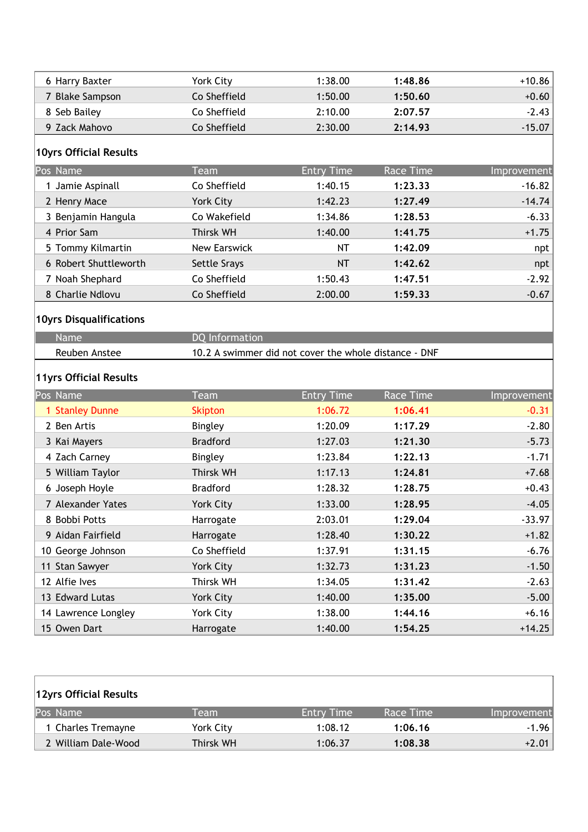| 6 Harry Baxter                | York City           | 1:38.00                                               | 1:48.86          | $+10.86$    |
|-------------------------------|---------------------|-------------------------------------------------------|------------------|-------------|
| 7 Blake Sampson               | Co Sheffield        | 1:50.00                                               | 1:50.60          | $+0.60$     |
| 8 Seb Bailey                  | Co Sheffield        | 2:10.00                                               | 2:07.57          | $-2.43$     |
| 9 Zack Mahovo                 | Co Sheffield        | 2:30.00                                               | 2:14.93          | $-15.07$    |
| <b>10yrs Official Results</b> |                     |                                                       |                  |             |
| Pos Name                      | Team                | <b>Entry Time</b>                                     | <b>Race Time</b> | Improvement |
| 1 Jamie Aspinall              | Co Sheffield        | 1:40.15                                               | 1:23.33          | $-16.82$    |
| 2 Henry Mace                  | York City           | 1:42.23                                               | 1:27.49          | $-14.74$    |
| 3 Benjamin Hangula            | Co Wakefield        | 1:34.86                                               | 1:28.53          | $-6.33$     |
| 4 Prior Sam                   | <b>Thirsk WH</b>    | 1:40.00                                               | 1:41.75          | $+1.75$     |
| 5 Tommy Kilmartin             | <b>New Earswick</b> | <b>NT</b>                                             | 1:42.09          | npt         |
| 6 Robert Shuttleworth         | <b>Settle Srays</b> | <b>NT</b>                                             | 1:42.62          | npt         |
| 7 Noah Shephard               | Co Sheffield        | 1:50.43                                               | 1:47.51          | $-2.92$     |
| 8 Charlie Ndlovu              | Co Sheffield        | 2:00.00                                               | 1:59.33          | $-0.67$     |
| 10yrs Disqualifications       |                     |                                                       |                  |             |
| <b>Name</b>                   | DQ Information      |                                                       |                  |             |
| Reuben Anstee                 |                     | 10.2 A swimmer did not cover the whole distance - DNF |                  |             |
|                               |                     |                                                       |                  |             |
| 11yrs Official Results        |                     |                                                       |                  |             |
| Pos Name                      | Team                | <b>Entry Time</b>                                     | <b>Race Time</b> | Improvement |
| 1 Stanley Dunne               | <b>Skipton</b>      | 1:06.72                                               | 1:06.41          | $-0.31$     |
| 2 Ben Artis                   | <b>Bingley</b>      | 1:20.09                                               | 1:17.29          | $-2.80$     |
| 3 Kai Mayers                  | <b>Bradford</b>     | 1:27.03                                               | 1:21.30          | $-5.73$     |
| 4 Zach Carney                 | <b>Bingley</b>      | 1:23.84                                               | 1:22.13          | $-1.71$     |
| 5 William Taylor              | Thirsk WH           | 1:17.13                                               | 1:24.81          | $+7.68$     |
| 6 Joseph Hoyle                | <b>Bradford</b>     | 1:28.32                                               | 1:28.75          | $+0.43$     |
| 7 Alexander Yates             | York City           | 1:33.00                                               | 1:28.95          | $-4.05$     |
| 8 Bobbi Potts                 | Harrogate           | 2:03.01                                               | 1:29.04          | $-33.97$    |
| 9 Aidan Fairfield             | Harrogate           | 1:28.40                                               | 1:30.22          | $+1.82$     |
| 10 George Johnson             | Co Sheffield        | 1:37.91                                               | 1:31.15          | $-6.76$     |
| 11 Stan Sawyer                | York City           | 1:32.73                                               | 1:31.23          | $-1.50$     |
| 12 Alfie Ives                 | Thirsk WH           | 1:34.05                                               | 1:31.42          | $-2.63$     |
| 13 Edward Lutas               | York City           | 1:40.00                                               | 1:35.00          | $-5.00$     |
| 14 Lawrence Longley           | York City           | 1:38.00                                               | 1:44.16          | $+6.16$     |
| 15 Owen Dart                  | Harrogate           | 1:40.00                                               | 1:54.25          | $+14.25$    |

| 12yrs Official Results |                  |                   |           |                    |
|------------------------|------------------|-------------------|-----------|--------------------|
| Pos Name               | Team             | <b>Entry Time</b> | Race Time | <b>Improvement</b> |
| 1 Charles Tremayne     | York City        | 1:08.12           | 1:06.16   | $-1.96$            |
| 2 William Dale-Wood    | <b>Thirsk WH</b> | 1:06.37           | 1:08.38   | $+2.01$            |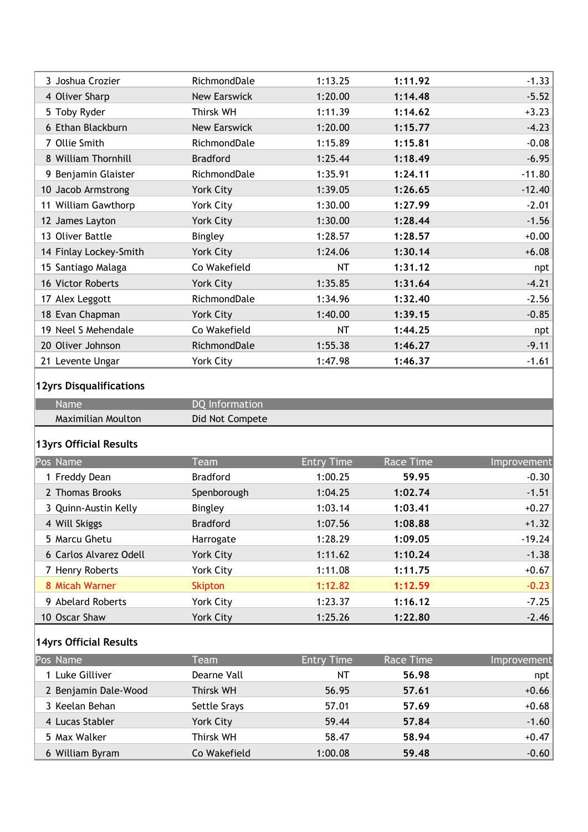| 3 Joshua Crozier              | RichmondDale        | 1:13.25           | 1:11.92          | $-1.33$     |
|-------------------------------|---------------------|-------------------|------------------|-------------|
| 4 Oliver Sharp                | <b>New Earswick</b> | 1:20.00           | 1:14.48          | $-5.52$     |
| 5 Toby Ryder                  | Thirsk WH           | 1:11.39           | 1:14.62          | $+3.23$     |
| 6 Ethan Blackburn             | <b>New Earswick</b> | 1:20.00           | 1:15.77          | $-4.23$     |
| 7 Ollie Smith                 | RichmondDale        | 1:15.89           | 1:15.81          | $-0.08$     |
| 8 William Thornhill           | <b>Bradford</b>     | 1:25.44           | 1:18.49          | $-6.95$     |
| 9 Benjamin Glaister           | RichmondDale        | 1:35.91           | 1:24.11          | $-11.80$    |
| 10 Jacob Armstrong            | York City           | 1:39.05           | 1:26.65          | $-12.40$    |
| 11 William Gawthorp           | York City           | 1:30.00           | 1:27.99          | $-2.01$     |
| 12 James Layton               | York City           | 1:30.00           | 1:28.44          | $-1.56$     |
| 13 Oliver Battle              | <b>Bingley</b>      | 1:28.57           | 1:28.57          | $+0.00$     |
| 14 Finlay Lockey-Smith        | York City           | 1:24.06           | 1:30.14          | $+6.08$     |
| 15 Santiago Malaga            | Co Wakefield        | <b>NT</b>         | 1:31.12          | npt         |
| 16 Victor Roberts             | York City           | 1:35.85           | 1:31.64          | $-4.21$     |
| 17 Alex Leggott               | RichmondDale        | 1:34.96           | 1:32.40          | $-2.56$     |
| 18 Evan Chapman               | York City           | 1:40.00           | 1:39.15          | $-0.85$     |
| 19 Neel S Mehendale           | Co Wakefield        | <b>NT</b>         | 1:44.25          | npt         |
| 20 Oliver Johnson             | RichmondDale        | 1:55.38           | 1:46.27          | $-9.11$     |
| 21 Levente Ungar              | York City           | 1:47.98           | 1:46.37          | $-1.61$     |
| 12yrs Disqualifications       |                     |                   |                  |             |
|                               |                     |                   |                  |             |
| <b>Name</b>                   | DQ Information      |                   |                  |             |
| <b>Maximilian Moulton</b>     | Did Not Compete     |                   |                  |             |
| 13yrs Official Results        |                     |                   |                  |             |
| Pos Name                      | <b>Team</b>         | <b>Entry Time</b> | <b>Race Time</b> | Improvement |
| 1 Freddy Dean                 | <b>Bradford</b>     | 1:00.25           | 59.95            | $-0.30$     |
| 2 Thomas Brooks               | Spenborough         | 1:04.25           | 1:02.74          | $-1.51$     |
| 3 Quinn-Austin Kelly          | <b>Bingley</b>      | 1:03.14           | 1:03.41          | $+0.27$     |
| 4 Will Skiggs                 | <b>Bradford</b>     | 1:07.56           | 1:08.88          | $+1.32$     |
| 5 Marcu Ghetu                 | Harrogate           | 1:28.29           | 1:09.05          | $-19.24$    |
| 6 Carlos Alvarez Odell        | York City           | 1:11.62           | 1:10.24          | $-1.38$     |
| 7 Henry Roberts               | York City           | 1:11.08           | 1:11.75          | $+0.67$     |
| 8 Micah Warner                | <b>Skipton</b>      | 1:12.82           | 1:12.59          | $-0.23$     |
| 9 Abelard Roberts             | York City           | 1:23.37           | 1:16.12          | $-7.25$     |
| 10 Oscar Shaw                 | York City           | 1:25.26           | 1:22.80          | $-2.46$     |
| <b>14yrs Official Results</b> |                     |                   |                  |             |
| Pos Name                      | Team                | <b>Entry Time</b> | <b>Race Time</b> | Improvement |
| 1 Luke Gilliver               | Dearne Vall         | <b>NT</b>         | 56.98            | npt         |
| 2 Benjamin Dale-Wood          | Thirsk WH           | 56.95             | 57.61            | $+0.66$     |
| 3 Keelan Behan                | Settle Srays        | 57.01             | 57.69            | $+0.68$     |

 Max Walker Thirsk WH 58.47 **58.94** +0.47 William Byram Co Wakefield 1:00.08 **59.48** -0.60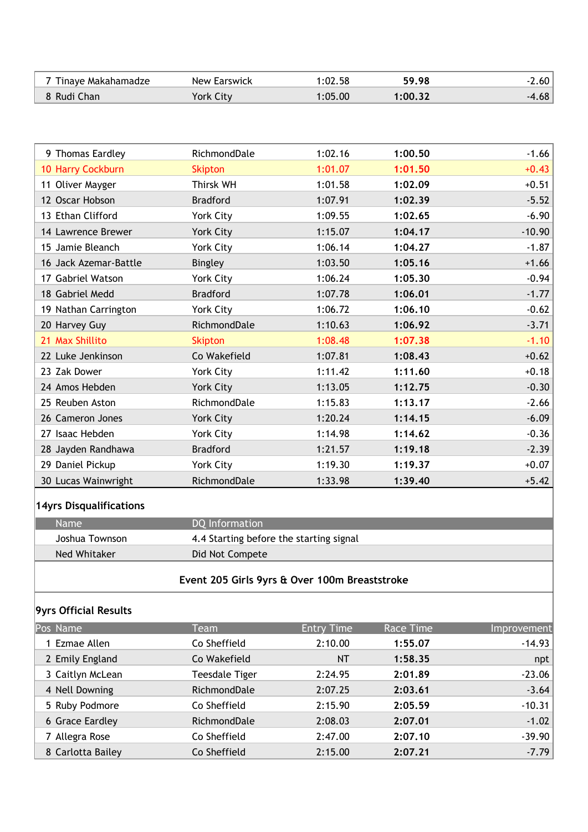| 7 Tinaye Makahamadze | New Earswick | 1:02.58 | 59.98   | $-2.60$ |
|----------------------|--------------|---------|---------|---------|
| 8 Rudi Chan          | York City    | 1:05.00 | 1:00.32 | $-4.68$ |

| 9 Thomas Eardley      | RichmondDale    | 1:02.16 | 1:00.50 | $-1.66$  |
|-----------------------|-----------------|---------|---------|----------|
| 10 Harry Cockburn     | <b>Skipton</b>  | 1:01.07 | 1:01.50 | $+0.43$  |
| 11 Oliver Mayger      | Thirsk WH       | 1:01.58 | 1:02.09 | $+0.51$  |
| 12 Oscar Hobson       | <b>Bradford</b> | 1:07.91 | 1:02.39 | $-5.52$  |
| 13 Ethan Clifford     | York City       | 1:09.55 | 1:02.65 | $-6.90$  |
| 14 Lawrence Brewer    | York City       | 1:15.07 | 1:04.17 | $-10.90$ |
| 15 Jamie Bleanch      | York City       | 1:06.14 | 1:04.27 | $-1.87$  |
| 16 Jack Azemar-Battle | <b>Bingley</b>  | 1:03.50 | 1:05.16 | $+1.66$  |
| 17 Gabriel Watson     | York City       | 1:06.24 | 1:05.30 | $-0.94$  |
| 18 Gabriel Medd       | <b>Bradford</b> | 1:07.78 | 1:06.01 | $-1.77$  |
| 19 Nathan Carrington  | York City       | 1:06.72 | 1:06.10 | $-0.62$  |
| 20 Harvey Guy         | RichmondDale    | 1:10.63 | 1:06.92 | $-3.71$  |
| 21 Max Shillito       | <b>Skipton</b>  | 1:08.48 | 1:07.38 | $-1.10$  |
| 22 Luke Jenkinson     | Co Wakefield    | 1:07.81 | 1:08.43 | $+0.62$  |
| 23 Zak Dower          | York City       | 1:11.42 | 1:11.60 | $+0.18$  |
| 24 Amos Hebden        | York City       | 1:13.05 | 1:12.75 | $-0.30$  |
| 25 Reuben Aston       | RichmondDale    | 1:15.83 | 1:13.17 | $-2.66$  |
| 26 Cameron Jones      | York City       | 1:20.24 | 1:14.15 | $-6.09$  |
| 27 Isaac Hebden       | York City       | 1:14.98 | 1:14.62 | $-0.36$  |
| 28 Jayden Randhawa    | <b>Bradford</b> | 1:21.57 | 1:19.18 | $-2.39$  |
| 29 Daniel Pickup      | York City       | 1:19.30 | 1:19.37 | $+0.07$  |
| 30 Lucas Wainwright   | RichmondDale    | 1:33.98 | 1:39.40 | $+5.42$  |

| Name           | DQ Information                          |
|----------------|-----------------------------------------|
| Joshua Townson | 4.4 Starting before the starting signal |
| Ned Whitaker   | Did Not Compete                         |
|                |                                         |

#### **Event 205 Girls 9yrs & Over 100m Breaststroke**

| Pos Name          | Team           | <b>Entry Time</b> | <b>Race Time</b> | Improvement |
|-------------------|----------------|-------------------|------------------|-------------|
| 1 Ezmae Allen     | Co Sheffield   | 2:10.00           | 1:55.07          | $-14.93$    |
| 2 Emily England   | Co Wakefield   | ΝT                | 1:58.35          | npt         |
| 3 Caitlyn McLean  | Teesdale Tiger | 2:24.95           | 2:01.89          | $-23.06$    |
| 4 Nell Downing    | RichmondDale   | 2:07.25           | 2:03.61          | $-3.64$     |
| 5 Ruby Podmore    | Co Sheffield   | 2:15.90           | 2:05.59          | $-10.31$    |
| 6 Grace Eardley   | RichmondDale   | 2:08.03           | 2:07.01          | $-1.02$     |
| 7 Allegra Rose    | Co Sheffield   | 2:47.00           | 2:07.10          | $-39.90$    |
| 8 Carlotta Bailey | Co Sheffield   | 2:15.00           | 2:07.21          | $-7.79$     |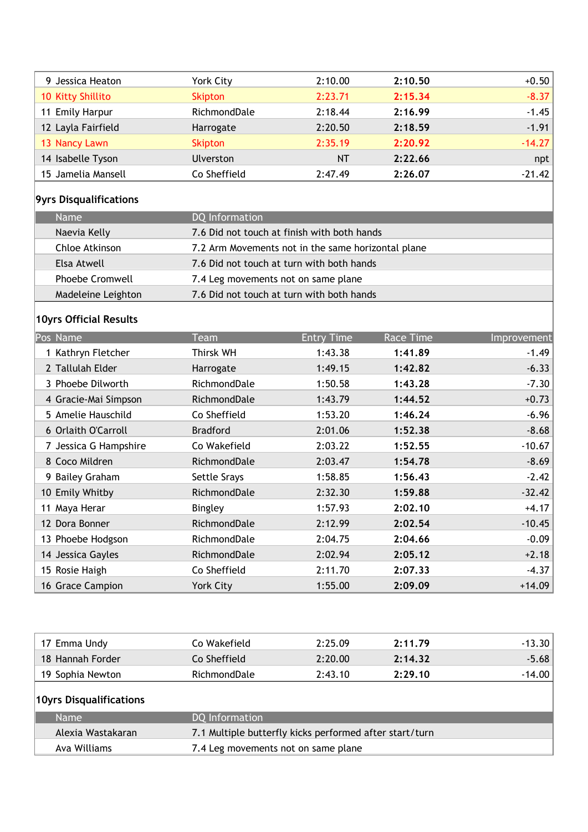| 9 Jessica Heaton   | York City        | 2:10.00   | 2:10.50 | $+0.50$  |
|--------------------|------------------|-----------|---------|----------|
| 10 Kitty Shillito  | <b>Skipton</b>   | 2:23.71   | 2:15.34 | $-8.37$  |
| 11 Emily Harpur    | RichmondDale     | 2:18.44   | 2:16.99 | $-1.45$  |
| 12 Layla Fairfield | Harrogate        | 2:20.50   | 2:18.59 | $-1.91$  |
| 13 Nancy Lawn      | <b>Skipton</b>   | 2:35.19   | 2:20.92 | $-14.27$ |
| 14 Isabelle Tyson  | <b>Ulverston</b> | <b>NT</b> | 2:22.66 | npt      |
| 15 Jamelia Mansell | Co Sheffield     | 2:47.49   | 2:26.07 | $-21.42$ |

| Name                   | DQ Information                                     |
|------------------------|----------------------------------------------------|
| Naevia Kelly           | 7.6 Did not touch at finish with both hands        |
| Chloe Atkinson         | 7.2 Arm Movements not in the same horizontal plane |
| Elsa Atwell            | 7.6 Did not touch at turn with both hands          |
| <b>Phoebe Cromwell</b> | 7.4 Leg movements not on same plane                |
| Madeleine Leighton     | 7.6 Did not touch at turn with both hands          |

| Pos Name              | Team                | <b>Entry Time</b> | <b>Race Time</b> | Improvement |
|-----------------------|---------------------|-------------------|------------------|-------------|
| 1 Kathryn Fletcher    | Thirsk WH           | 1:43.38           | 1:41.89          | $-1.49$     |
| 2 Tallulah Elder      | Harrogate           | 1:49.15           | 1:42.82          | $-6.33$     |
| 3 Phoebe Dilworth     | RichmondDale        | 1:50.58           | 1:43.28          | $-7.30$     |
| 4 Gracie-Mai Simpson  | RichmondDale        | 1:43.79           | 1:44.52          | $+0.73$     |
| 5 Amelie Hauschild    | Co Sheffield        | 1:53.20           | 1:46.24          | $-6.96$     |
| 6 Orlaith O'Carroll   | <b>Bradford</b>     | 2:01.06           | 1:52.38          | $-8.68$     |
| 7 Jessica G Hampshire | Co Wakefield        | 2:03.22           | 1:52.55          | $-10.67$    |
| 8 Coco Mildren        | RichmondDale        | 2:03.47           | 1:54.78          | $-8.69$     |
| 9 Bailey Graham       | <b>Settle Srays</b> | 1:58.85           | 1:56.43          | $-2.42$     |
| 10 Emily Whitby       | RichmondDale        | 2:32.30           | 1:59.88          | $-32.42$    |
| 11 Maya Herar         | <b>Bingley</b>      | 1:57.93           | 2:02.10          | $+4.17$     |
| 12 Dora Bonner        | RichmondDale        | 2:12.99           | 2:02.54          | $-10.45$    |
| 13 Phoebe Hodgson     | RichmondDale        | 2:04.75           | 2:04.66          | $-0.09$     |
| 14 Jessica Gayles     | RichmondDale        | 2:02.94           | 2:05.12          | $+2.18$     |
| 15 Rosie Haigh        | Co Sheffield        | 2:11.70           | 2:07.33          | $-4.37$     |
| 16 Grace Campion      | York City           | 1:55.00           | 2:09.09          | $+14.09$    |

| 17 Emma Undy            | Co Wakefield                        | 2:25.09                                                 | 2:11.79 | $-13.30$ |
|-------------------------|-------------------------------------|---------------------------------------------------------|---------|----------|
| 18 Hannah Forder        | Co Sheffield                        | 2:20.00                                                 | 2:14.32 | $-5.68$  |
| 19 Sophia Newton        | RichmondDale                        | 2:43.10                                                 | 2:29.10 | $-14.00$ |
| 10yrs Disqualifications |                                     |                                                         |         |          |
| Name                    | DQ Information                      |                                                         |         |          |
| Alexia Wastakaran       |                                     | 7.1 Multiple butterfly kicks performed after start/turn |         |          |
| Ava Williams            | 7.4 Leg movements not on same plane |                                                         |         |          |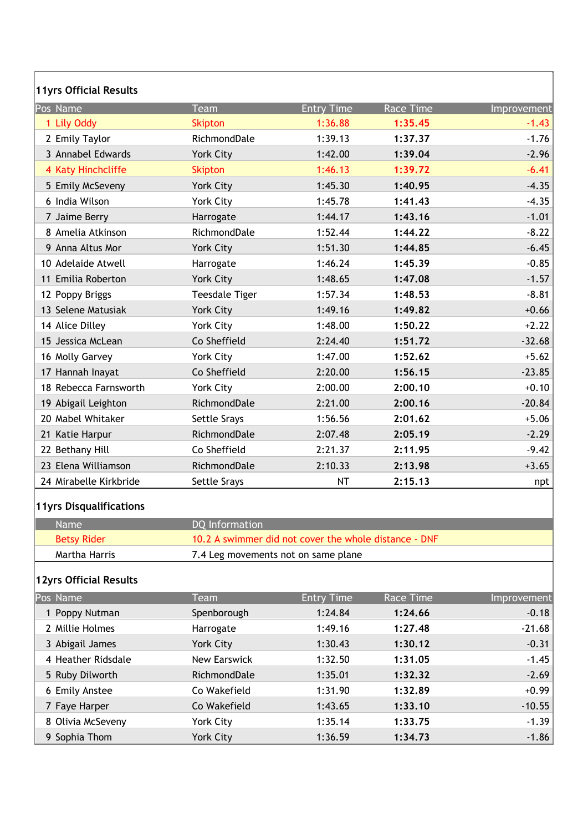|  |  | <b>11yrs Official Results</b> |  |
|--|--|-------------------------------|--|
|--|--|-------------------------------|--|

| Pos Name               | <b>Team</b>           | <b>Entry Time</b> | <b>Race Time</b> | Improvement |
|------------------------|-----------------------|-------------------|------------------|-------------|
| 1 Lily Oddy            | <b>Skipton</b>        | 1:36.88           | 1:35.45          | $-1.43$     |
| 2 Emily Taylor         | RichmondDale          | 1:39.13           | 1:37.37          | $-1.76$     |
| 3 Annabel Edwards      | York City             | 1:42.00           | 1:39.04          | $-2.96$     |
| 4 Katy Hinchcliffe     | <b>Skipton</b>        | 1:46.13           | 1:39.72          | $-6.41$     |
| 5 Emily McSeveny       | York City             | 1:45.30           | 1:40.95          | $-4.35$     |
| 6 India Wilson         | York City             | 1:45.78           | 1:41.43          | $-4.35$     |
| 7 Jaime Berry          | Harrogate             | 1:44.17           | 1:43.16          | $-1.01$     |
| 8 Amelia Atkinson      | RichmondDale          | 1:52.44           | 1:44.22          | $-8.22$     |
| 9 Anna Altus Mor       | York City             | 1:51.30           | 1:44.85          | $-6.45$     |
| 10 Adelaide Atwell     | Harrogate             | 1:46.24           | 1:45.39          | $-0.85$     |
| 11 Emilia Roberton     | York City             | 1:48.65           | 1:47.08          | $-1.57$     |
| 12 Poppy Briggs        | <b>Teesdale Tiger</b> | 1:57.34           | 1:48.53          | $-8.81$     |
| 13 Selene Matusiak     | York City             | 1:49.16           | 1:49.82          | $+0.66$     |
| 14 Alice Dilley        | York City             | 1:48.00           | 1:50.22          | $+2.22$     |
| 15 Jessica McLean      | Co Sheffield          | 2:24.40           | 1:51.72          | $-32.68$    |
| 16 Molly Garvey        | York City             | 1:47.00           | 1:52.62          | $+5.62$     |
| 17 Hannah Inayat       | Co Sheffield          | 2:20.00           | 1:56.15          | $-23.85$    |
| 18 Rebecca Farnsworth  | York City             | 2:00.00           | 2:00.10          | $+0.10$     |
| 19 Abigail Leighton    | RichmondDale          | 2:21.00           | 2:00.16          | $-20.84$    |
| 20 Mabel Whitaker      | Settle Srays          | 1:56.56           | 2:01.62          | $+5.06$     |
| 21 Katie Harpur        | RichmondDale          | 2:07.48           | 2:05.19          | $-2.29$     |
| 22 Bethany Hill        | Co Sheffield          | 2:21.37           | 2:11.95          | $-9.42$     |
| 23 Elena Williamson    | RichmondDale          | 2:10.33           | 2:13.98          | $+3.65$     |
| 24 Mirabelle Kirkbride | Settle Srays          | <b>NT</b>         | 2:15.13          | npt         |

| <b>Name</b>        | DQ Information                                        |
|--------------------|-------------------------------------------------------|
| <b>Betsy Rider</b> | 10.2 A swimmer did not cover the whole distance - DNF |
| Martha Harris      | 7.4 Leg movements not on same plane                   |

| Pos Name           | Team             | <b>Entry Time</b> | Race Time | Improvement |
|--------------------|------------------|-------------------|-----------|-------------|
| 1 Poppy Nutman     | Spenborough      | 1:24.84           | 1:24.66   | $-0.18$     |
| 2 Millie Holmes    | Harrogate        | 1:49.16           | 1:27.48   | $-21.68$    |
| 3 Abigail James    | York City        | 1:30.43           | 1:30.12   | $-0.31$     |
| 4 Heather Ridsdale | New Earswick     | 1:32.50           | 1:31.05   | $-1.45$     |
| 5 Ruby Dilworth    | RichmondDale     | 1:35.01           | 1:32.32   | $-2.69$     |
| 6 Emily Anstee     | Co Wakefield     | 1:31.90           | 1:32.89   | $+0.99$     |
| 7 Faye Harper      | Co Wakefield     | 1:43.65           | 1:33.10   | $-10.55$    |
| 8 Olivia McSeveny  | York City        | 1:35.14           | 1:33.75   | $-1.39$     |
| 9 Sophia Thom      | <b>York City</b> | 1:36.59           | 1:34.73   | $-1.86$     |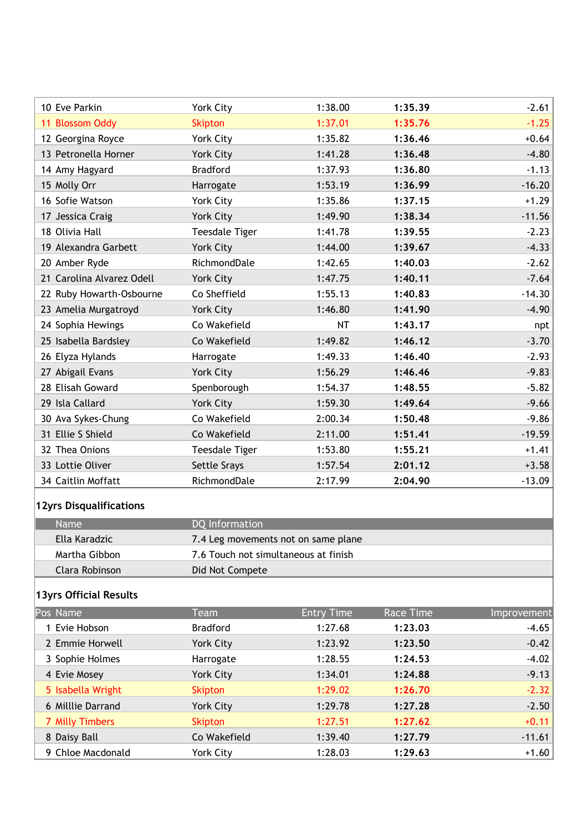| 10 Eve Parkin                  | York City                           | 1:38.00   | 1:35.39 | $-2.61$  |
|--------------------------------|-------------------------------------|-----------|---------|----------|
| 11 Blossom Oddy                | <b>Skipton</b>                      | 1:37.01   | 1:35.76 | $-1.25$  |
| 12 Georgina Royce              | York City                           | 1:35.82   | 1:36.46 | $+0.64$  |
| 13 Petronella Horner           | York City                           | 1:41.28   | 1:36.48 | $-4.80$  |
| 14 Amy Hagyard                 | <b>Bradford</b>                     | 1:37.93   | 1:36.80 | $-1.13$  |
| 15 Molly Orr                   | Harrogate                           | 1:53.19   | 1:36.99 | $-16.20$ |
| 16 Sofie Watson                | York City                           | 1:35.86   | 1:37.15 | $+1.29$  |
| 17 Jessica Craig               | York City                           | 1:49.90   | 1:38.34 | $-11.56$ |
| 18 Olivia Hall                 | <b>Teesdale Tiger</b>               | 1:41.78   | 1:39.55 | $-2.23$  |
| 19 Alexandra Garbett           | York City                           | 1:44.00   | 1:39.67 | $-4.33$  |
| 20 Amber Ryde                  | RichmondDale                        | 1:42.65   | 1:40.03 | $-2.62$  |
| 21 Carolina Alvarez Odell      | York City                           | 1:47.75   | 1:40.11 | $-7.64$  |
| 22 Ruby Howarth-Osbourne       | Co Sheffield                        | 1:55.13   | 1:40.83 | $-14.30$ |
| 23 Amelia Murgatroyd           | York City                           | 1:46.80   | 1:41.90 | $-4.90$  |
| 24 Sophia Hewings              | Co Wakefield                        | <b>NT</b> | 1:43.17 | npt      |
| 25 Isabella Bardsley           | Co Wakefield                        | 1:49.82   | 1:46.12 | $-3.70$  |
| 26 Elyza Hylands               | Harrogate                           | 1:49.33   | 1:46.40 | $-2.93$  |
| 27 Abigail Evans               | York City                           | 1:56.29   | 1:46.46 | $-9.83$  |
| 28 Elisah Goward               | Spenborough                         | 1:54.37   | 1:48.55 | $-5.82$  |
| 29 Isla Callard                | York City                           | 1:59.30   | 1:49.64 | $-9.66$  |
| 30 Ava Sykes-Chung             | Co Wakefield                        | 2:00.34   | 1:50.48 | $-9.86$  |
| 31 Ellie S Shield              | Co Wakefield                        | 2:11.00   | 1:51.41 | $-19.59$ |
| 32 Thea Onions                 | <b>Teesdale Tiger</b>               | 1:53.80   | 1:55.21 | $+1.41$  |
| 33 Lottie Oliver               | <b>Settle Srays</b>                 | 1:57.54   | 2:01.12 | $+3.58$  |
| 34 Caitlin Moffatt             | RichmondDale                        | 2:17.99   | 2:04.90 | $-13.09$ |
| <b>12yrs Disqualifications</b> |                                     |           |         |          |
| <b>Name</b>                    | DQ Information                      |           |         |          |
| Flla Karadzic                  | 7.4 Leg movements not on same plane |           |         |          |

### Ella Karadzic 7.4 Leg movements not on same plane Martha Gibbon 7.6 Touch not simultaneous at finish Clara Robinson Did Not Compete

| Pos Name          | Team            | <b>Entry Time</b> | <b>Race Time</b> | Improvement |
|-------------------|-----------------|-------------------|------------------|-------------|
| 1 Evie Hobson     | <b>Bradford</b> | 1:27.68           | 1:23.03          | $-4.65$     |
| 2 Emmie Horwell   | York City       | 1:23.92           | 1:23.50          | $-0.42$     |
| 3 Sophie Holmes   | Harrogate       | 1:28.55           | 1:24.53          | $-4.02$     |
| 4 Evie Mosey      | York City       | 1:34.01           | 1:24.88          | $-9.13$     |
| 5 Isabella Wright | <b>Skipton</b>  | 1:29.02           | 1:26.70          | $-2.32$     |
| 6 Millie Darrand  | York City       | 1:29.78           | 1:27.28          | $-2.50$     |
| 7 Milly Timbers   | <b>Skipton</b>  | 1:27.51           | 1:27.62          | $+0.11$     |
| 8 Daisy Ball      | Co Wakefield    | 1:39.40           | 1:27.79          | $-11.61$    |
| 9 Chloe Macdonald | York City       | 1:28.03           | 1:29.63          | $+1.60$     |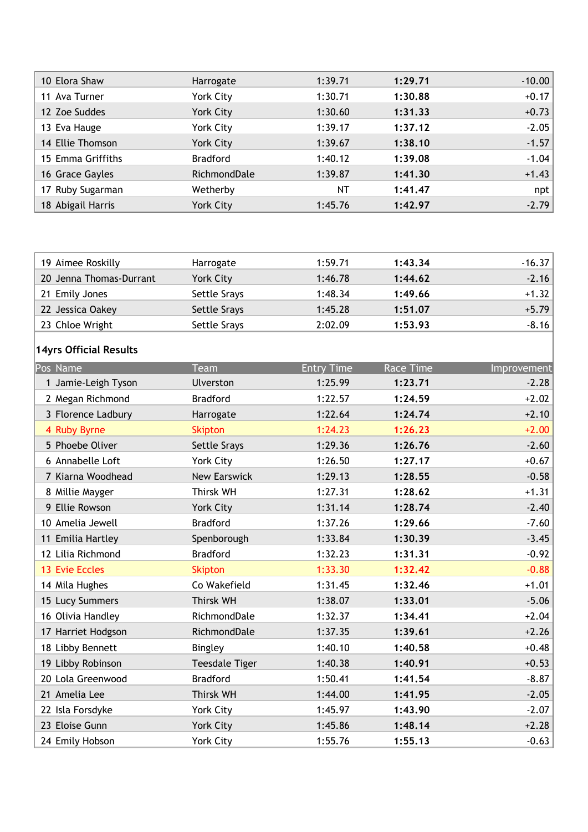| 10 Elora Shaw     | Harrogate        | 1:39.71 | 1:29.71 | $-10.00$ |
|-------------------|------------------|---------|---------|----------|
| 11 Ava Turner     | York City        | 1:30.71 | 1:30.88 | $+0.17$  |
| 12 Zoe Suddes     | <b>York City</b> | 1:30.60 | 1:31.33 | $+0.73$  |
| 13 Eva Hauge      | York City        | 1:39.17 | 1:37.12 | $-2.05$  |
| 14 Ellie Thomson  | York City        | 1:39.67 | 1:38.10 | $-1.57$  |
| 15 Emma Griffiths | <b>Bradford</b>  | 1:40.12 | 1:39.08 | $-1.04$  |
| 16 Grace Gayles   | RichmondDale     | 1:39.87 | 1:41.30 | $+1.43$  |
| 17 Ruby Sugarman  | Wetherby         | ΝT      | 1:41.47 | npt      |
| 18 Abigail Harris | York City        | 1:45.76 | 1:42.97 | $-2.79$  |

| 19 Aimee Roskilly       | Harrogate    | 1:59.71 | 1:43.34 | $-16.37$ |
|-------------------------|--------------|---------|---------|----------|
| 20 Jenna Thomas-Durrant | York City    | 1:46.78 | 1:44.62 | $-2.16$  |
| 21 Emily Jones          | Settle Srays | 1:48.34 | 1:49.66 | $+1.32$  |
| 22 Jessica Oakey        | Settle Srays | 1:45.28 | 1:51.07 | $+5.79$  |
| 23 Chloe Wright         | Settle Srays | 2:02.09 | 1:53.93 | $-8.16$  |

| Pos Name            | Team                  | <b>Entry Time</b> | <b>Race Time</b> | Improvement |
|---------------------|-----------------------|-------------------|------------------|-------------|
| 1 Jamie-Leigh Tyson | Ulverston             | 1:25.99           | 1:23.71          | $-2.28$     |
| 2 Megan Richmond    | <b>Bradford</b>       | 1:22.57           | 1:24.59          | $+2.02$     |
| 3 Florence Ladbury  | Harrogate             | 1:22.64           | 1:24.74          | $+2.10$     |
| 4 Ruby Byrne        | <b>Skipton</b>        | 1:24.23           | 1:26.23          | $+2.00$     |
| 5 Phoebe Oliver     | Settle Srays          | 1:29.36           | 1:26.76          | $-2.60$     |
| 6 Annabelle Loft    | York City             | 1:26.50           | 1:27.17          | $+0.67$     |
| 7 Kiarna Woodhead   | <b>New Earswick</b>   | 1:29.13           | 1:28.55          | $-0.58$     |
| 8 Millie Mayger     | <b>Thirsk WH</b>      | 1:27.31           | 1:28.62          | $+1.31$     |
| 9 Ellie Rowson      | York City             | 1:31.14           | 1:28.74          | $-2.40$     |
| 10 Amelia Jewell    | <b>Bradford</b>       | 1:37.26           | 1:29.66          | $-7.60$     |
| 11 Emilia Hartley   | Spenborough           | 1:33.84           | 1:30.39          | $-3.45$     |
| 12 Lilia Richmond   | <b>Bradford</b>       | 1:32.23           | 1:31.31          | $-0.92$     |
| 13 Evie Eccles      | <b>Skipton</b>        | 1:33.30           | 1:32.42          | $-0.88$     |
| 14 Mila Hughes      | Co Wakefield          | 1:31.45           | 1:32.46          | $+1.01$     |
| 15 Lucy Summers     | <b>Thirsk WH</b>      | 1:38.07           | 1:33.01          | $-5.06$     |
| 16 Olivia Handley   | RichmondDale          | 1:32.37           | 1:34.41          | $+2.04$     |
| 17 Harriet Hodgson  | RichmondDale          | 1:37.35           | 1:39.61          | $+2.26$     |
| 18 Libby Bennett    | <b>Bingley</b>        | 1:40.10           | 1:40.58          | $+0.48$     |
| 19 Libby Robinson   | <b>Teesdale Tiger</b> | 1:40.38           | 1:40.91          | $+0.53$     |
| 20 Lola Greenwood   | <b>Bradford</b>       | 1:50.41           | 1:41.54          | $-8.87$     |
| 21 Amelia Lee       | Thirsk WH             | 1:44.00           | 1:41.95          | $-2.05$     |
| 22 Isla Forsdyke    | York City             | 1:45.97           | 1:43.90          | $-2.07$     |
| 23 Eloise Gunn      | York City             | 1:45.86           | 1:48.14          | $+2.28$     |
| 24 Emily Hobson     | York City             | 1:55.76           | 1:55.13          | $-0.63$     |